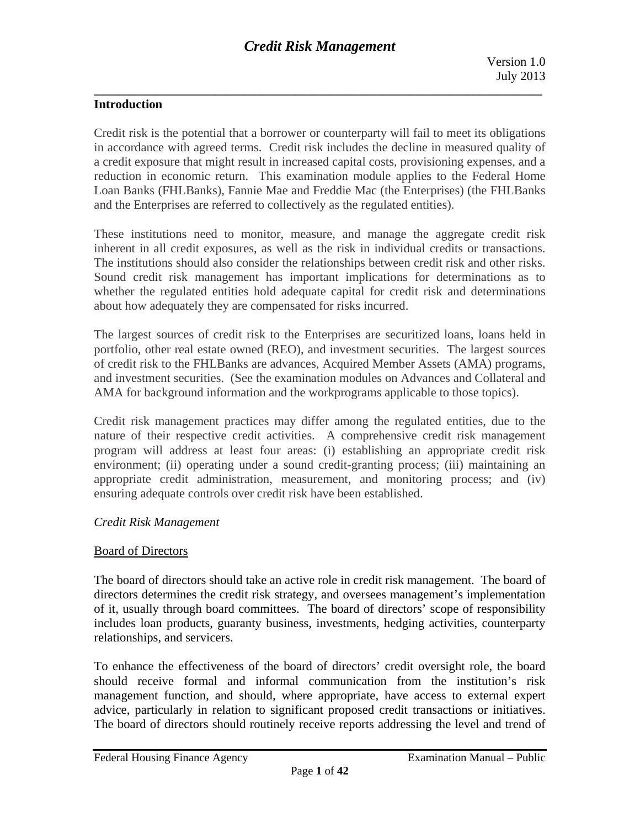## **Introduction**

Credit risk is the potential that a borrower or counterparty will fail to meet its obligations in accordance with agreed terms. Credit risk includes the decline in measured quality of a credit exposure that might result in increased capital costs, provisioning expenses, and a reduction in economic return. This examination module applies to the Federal Home Loan Banks (FHLBanks), Fannie Mae and Freddie Mac (the Enterprises) (the FHLBanks and the Enterprises are referred to collectively as the regulated entities).

These institutions need to monitor, measure, and manage the aggregate credit risk inherent in all credit exposures, as well as the risk in individual credits or transactions. The institutions should also consider the relationships between credit risk and other risks. Sound credit risk management has important implications for determinations as to whether the regulated entities hold adequate capital for credit risk and determinations about how adequately they are compensated for risks incurred.

The largest sources of credit risk to the Enterprises are securitized loans, loans held in portfolio, other real estate owned (REO), and investment securities. The largest sources of credit risk to the FHLBanks are advances, Acquired Member Assets (AMA) programs, and investment securities. (See the examination modules on Advances and Collateral and AMA for background information and the workprograms applicable to those topics).

Credit risk management practices may differ among the regulated entities, due to the nature of their respective credit activities. A comprehensive credit risk management program will address at least four areas: (i) establishing an appropriate credit risk environment; (ii) operating under a sound credit-granting process; (iii) maintaining an appropriate credit administration, measurement, and monitoring process; and (iv) ensuring adequate controls over credit risk have been established.

#### *Credit Risk Management*

## Board of Directors

The board of directors should take an active role in credit risk management. The board of directors determines the credit risk strategy, and oversees management's implementation of it, usually through board committees. The board of directors' scope of responsibility includes loan products, guaranty business, investments, hedging activities, counterparty relationships, and servicers.

To enhance the effectiveness of the board of directors' credit oversight role, the board should receive formal and informal communication from the institution's risk management function, and should, where appropriate, have access to external expert advice, particularly in relation to significant proposed credit transactions or initiatives. The board of directors should routinely receive reports addressing the level and trend of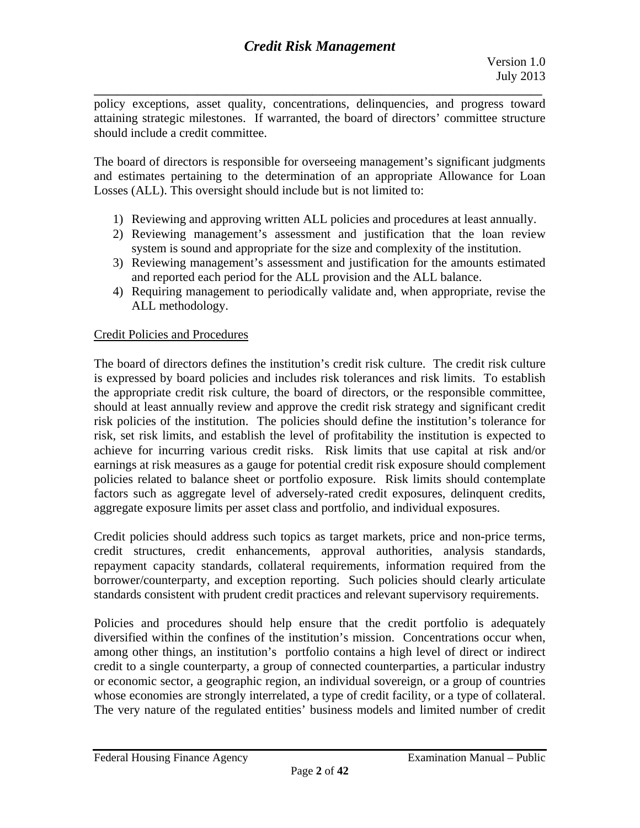**\_\_\_\_\_\_\_\_\_\_\_\_\_\_\_\_\_\_\_\_\_\_\_\_\_\_\_\_\_\_\_\_\_\_\_\_\_\_\_\_\_\_\_\_\_\_\_\_\_\_\_\_\_\_\_\_\_\_\_\_\_\_\_\_\_\_\_\_\_\_\_\_\_\_\_\_\_\_**  policy exceptions, asset quality, concentrations, delinquencies, and progress toward attaining strategic milestones. If warranted, the board of directors' committee structure should include a credit committee.

The board of directors is responsible for overseeing management's significant judgments and estimates pertaining to the determination of an appropriate Allowance for Loan Losses (ALL). This oversight should include but is not limited to:

- 1) Reviewing and approving written ALL policies and procedures at least annually.
- 2) Reviewing management's assessment and justification that the loan review system is sound and appropriate for the size and complexity of the institution.
- 3) Reviewing management's assessment and justification for the amounts estimated and reported each period for the ALL provision and the ALL balance.
- 4) Requiring management to periodically validate and, when appropriate, revise the ALL methodology.

## Credit Policies and Procedures

The board of directors defines the institution's credit risk culture. The credit risk culture is expressed by board policies and includes risk tolerances and risk limits. To establish the appropriate credit risk culture, the board of directors, or the responsible committee, should at least annually review and approve the credit risk strategy and significant credit risk policies of the institution. The policies should define the institution's tolerance for risk, set risk limits, and establish the level of profitability the institution is expected to achieve for incurring various credit risks. Risk limits that use capital at risk and/or earnings at risk measures as a gauge for potential credit risk exposure should complement policies related to balance sheet or portfolio exposure. Risk limits should contemplate factors such as aggregate level of adversely-rated credit exposures, delinquent credits, aggregate exposure limits per asset class and portfolio, and individual exposures.

Credit policies should address such topics as target markets, price and non-price terms, credit structures, credit enhancements, approval authorities, analysis standards, repayment capacity standards, collateral requirements, information required from the borrower/counterparty, and exception reporting. Such policies should clearly articulate standards consistent with prudent credit practices and relevant supervisory requirements.

Policies and procedures should help ensure that the credit portfolio is adequately diversified within the confines of the institution's mission. Concentrations occur when, among other things, an institution's portfolio contains a high level of direct or indirect credit to a single counterparty, a group of connected counterparties, a particular industry or economic sector, a geographic region, an individual sovereign, or a group of countries whose economies are strongly interrelated, a type of credit facility, or a type of collateral. The very nature of the regulated entities' business models and limited number of credit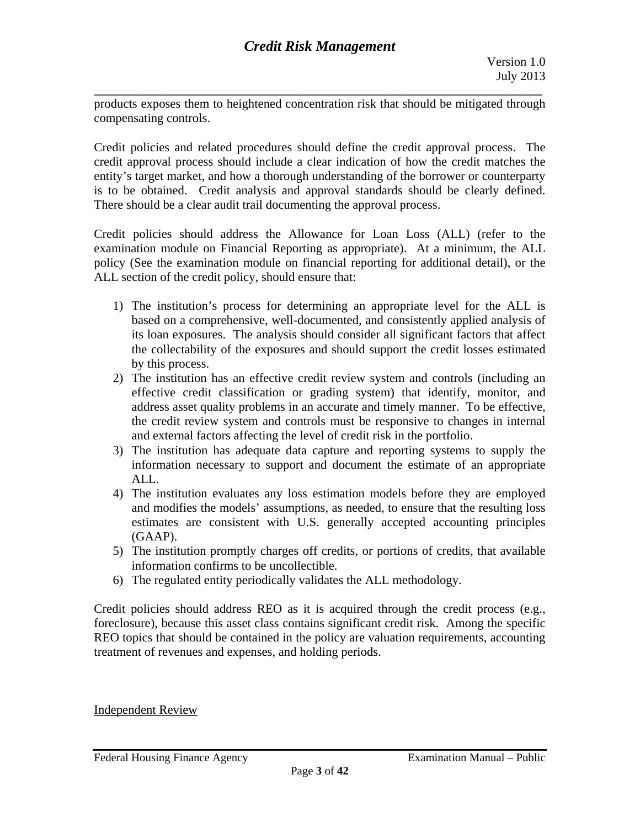**\_\_\_\_\_\_\_\_\_\_\_\_\_\_\_\_\_\_\_\_\_\_\_\_\_\_\_\_\_\_\_\_\_\_\_\_\_\_\_\_\_\_\_\_\_\_\_\_\_\_\_\_\_\_\_\_\_\_\_\_\_\_\_\_\_\_\_\_\_\_\_\_\_\_\_\_\_\_**  products exposes them to heightened concentration risk that should be mitigated through compensating controls.

Credit policies and related procedures should define the credit approval process. The credit approval process should include a clear indication of how the credit matches the entity's target market, and how a thorough understanding of the borrower or counterparty is to be obtained. Credit analysis and approval standards should be clearly defined. There should be a clear audit trail documenting the approval process.

Credit policies should address the Allowance for Loan Loss (ALL) (refer to the examination module on Financial Reporting as appropriate). At a minimum, the ALL policy (See the examination module on financial reporting for additional detail), or the ALL section of the credit policy, should ensure that:

- 1) The institution's process for determining an appropriate level for the ALL is based on a comprehensive, well-documented, and consistently applied analysis of its loan exposures. The analysis should consider all significant factors that affect the collectability of the exposures and should support the credit losses estimated by this process.
- 2) The institution has an effective credit review system and controls (including an effective credit classification or grading system) that identify, monitor, and address asset quality problems in an accurate and timely manner. To be effective, the credit review system and controls must be responsive to changes in internal and external factors affecting the level of credit risk in the portfolio.
- 3) The institution has adequate data capture and reporting systems to supply the information necessary to support and document the estimate of an appropriate ALL.
- 4)The institution evaluates any loss estimation models before they are employed and modifies the models' assumptions, as needed, to ensure that the resulting loss estimates are consistent with U.S. generally accepted accounting principles (GAAP).
- 5) The institution promptly charges off credits, or portions of credits, that available information confirms to be uncollectible.
- 6) The regulated entity periodically validates the ALL methodology.

Credit policies should address REO as it is acquired through the credit process (e.g., foreclosure), because this asset class contains significant credit risk. Among the specific REO topics that should be contained in the policy are valuation requirements, accounting treatment of revenues and expenses, and holding periods.

Independent Review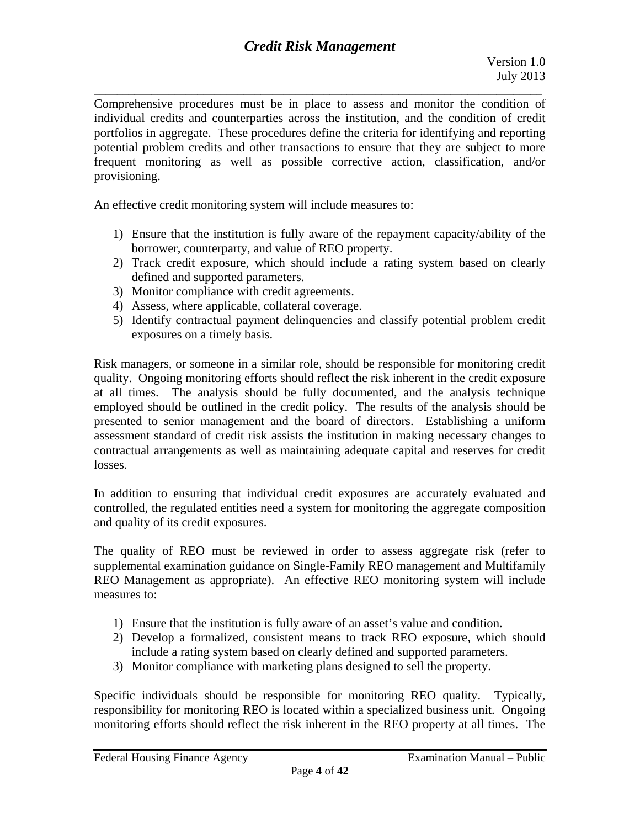Comprehensive procedures must be in place to assess and monitor the condition of individual credits and counterparties across the institution, and the condition of credit portfolios in aggregate. These procedures define the criteria for identifying and reporting potential problem credits and other transactions to ensure that they are subject to more frequent monitoring as well as possible corrective action, classification, and/or provisioning.

An effective credit monitoring system will include measures to:

- 1) Ensure that the institution is fully aware of the repayment capacity/ability of the borrower, counterparty, and value of REO property.
- 2) Track credit exposure, which should include a rating system based on clearly defined and supported parameters.
- 3) Monitor compliance with credit agreements.
- 4) Assess, where applicable, collateral coverage.
- 5) Identify contractual payment delinquencies and classify potential problem credit exposures on a timely basis.

Risk managers, or someone in a similar role, should be responsible for monitoring credit quality. Ongoing monitoring efforts should reflect the risk inherent in the credit exposure at all times. The analysis should be fully documented, and the analysis technique employed should be outlined in the credit policy. The results of the analysis should be presented to senior management and the board of directors. Establishing a uniform assessment standard of credit risk assists the institution in making necessary changes to contractual arrangements as well as maintaining adequate capital and reserves for credit losses.

In addition to ensuring that individual credit exposures are accurately evaluated and controlled, the regulated entities need a system for monitoring the aggregate composition and quality of its credit exposures.

The quality of REO must be reviewed in order to assess aggregate risk (refer to supplemental examination guidance on Single-Family REO management and Multifamily REO Management as appropriate). An effective REO monitoring system will include measures to:

- 1) Ensure that the institution is fully aware of an asset's value and condition.
- 2) Develop a formalized, consistent means to track REO exposure, which should include a rating system based on clearly defined and supported parameters.
- 3) Monitor compliance with marketing plans designed to sell the property.

Specific individuals should be responsible for monitoring REO quality. Typically, responsibility for monitoring REO is located within a specialized business unit. Ongoing monitoring efforts should reflect the risk inherent in the REO property at all times. The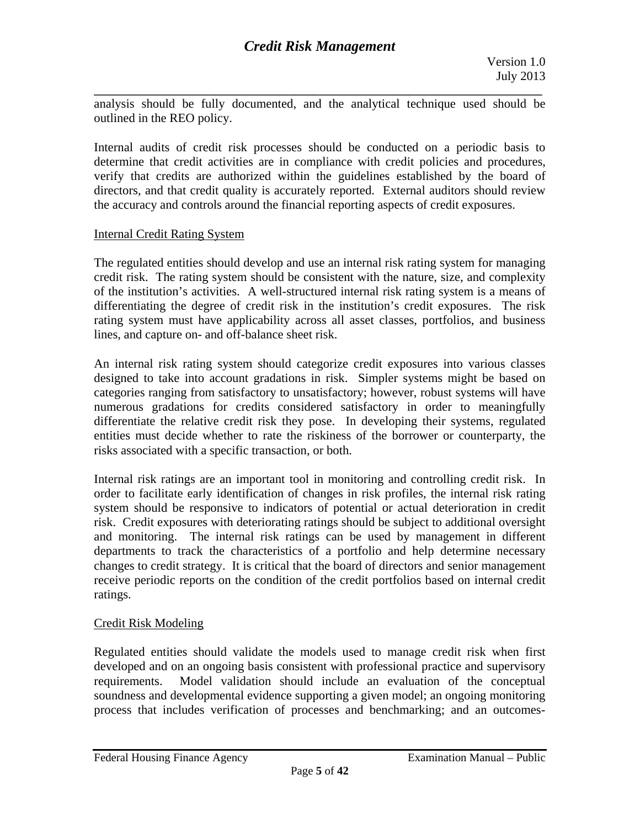**\_\_\_\_\_\_\_\_\_\_\_\_\_\_\_\_\_\_\_\_\_\_\_\_\_\_\_\_\_\_\_\_\_\_\_\_\_\_\_\_\_\_\_\_\_\_\_\_\_\_\_\_\_\_\_\_\_\_\_\_\_\_\_\_\_\_\_\_\_\_\_\_\_\_\_\_\_\_**  analysis should be fully documented, and the analytical technique used should be outlined in the REO policy.

Internal audits of credit risk processes should be conducted on a periodic basis to determine that credit activities are in compliance with credit policies and procedures, verify that credits are authorized within the guidelines established by the board of directors, and that credit quality is accurately reported. External auditors should review the accuracy and controls around the financial reporting aspects of credit exposures.

#### Internal Credit Rating System

The regulated entities should develop and use an internal risk rating system for managing credit risk. The rating system should be consistent with the nature, size, and complexity of the institution's activities. A well-structured internal risk rating system is a means of differentiating the degree of credit risk in the institution's credit exposures. The risk rating system must have applicability across all asset classes, portfolios, and business lines, and capture on- and off-balance sheet risk.

An internal risk rating system should categorize credit exposures into various classes designed to take into account gradations in risk. Simpler systems might be based on categories ranging from satisfactory to unsatisfactory; however, robust systems will have numerous gradations for credits considered satisfactory in order to meaningfully differentiate the relative credit risk they pose. In developing their systems, regulated entities must decide whether to rate the riskiness of the borrower or counterparty, the risks associated with a specific transaction, or both.

Internal risk ratings are an important tool in monitoring and controlling credit risk. In order to facilitate early identification of changes in risk profiles, the internal risk rating system should be responsive to indicators of potential or actual deterioration in credit risk. Credit exposures with deteriorating ratings should be subject to additional oversight and monitoring. The internal risk ratings can be used by management in different departments to track the characteristics of a portfolio and help determine necessary changes to credit strategy. It is critical that the board of directors and senior management receive periodic reports on the condition of the credit portfolios based on internal credit ratings.

## Credit Risk Modeling

Regulated entities should validate the models used to manage credit risk when first developed and on an ongoing basis consistent with professional practice and supervisory requirements. Model validation should include an evaluation of the conceptual soundness and developmental evidence supporting a given model; an ongoing monitoring process that includes verification of processes and benchmarking; and an outcomes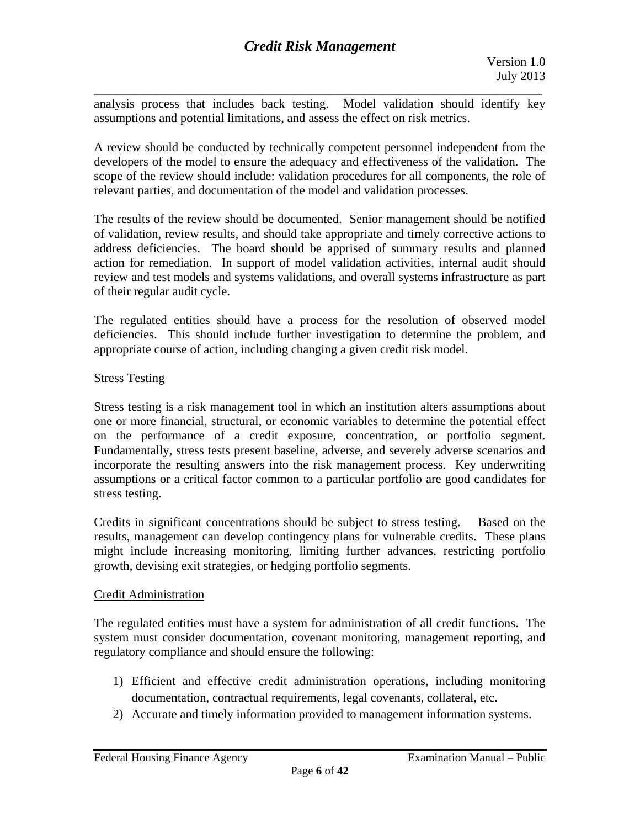**\_\_\_\_\_\_\_\_\_\_\_\_\_\_\_\_\_\_\_\_\_\_\_\_\_\_\_\_\_\_\_\_\_\_\_\_\_\_\_\_\_\_\_\_\_\_\_\_\_\_\_\_\_\_\_\_\_\_\_\_\_\_\_\_\_\_\_\_\_\_\_\_\_\_\_\_\_\_**  analysis process that includes back testing. Model validation should identify key assumptions and potential limitations, and assess the effect on risk metrics.

A review should be conducted by technically competent personnel independent from the developers of the model to ensure the adequacy and effectiveness of the validation. The scope of the review should include: validation procedures for all components, the role of relevant parties, and documentation of the model and validation processes.

The results of the review should be documented. Senior management should be notified of validation, review results, and should take appropriate and timely corrective actions to address deficiencies. The board should be apprised of summary results and planned action for remediation. In support of model validation activities, internal audit should review and test models and systems validations, and overall systems infrastructure as part of their regular audit cycle.

The regulated entities should have a process for the resolution of observed model deficiencies. This should include further investigation to determine the problem, and appropriate course of action, including changing a given credit risk model.

## Stress Testing

Stress testing is a risk management tool in which an institution alters assumptions about one or more financial, structural, or economic variables to determine the potential effect on the performance of a credit exposure, concentration, or portfolio segment. Fundamentally, stress tests present baseline, adverse, and severely adverse scenarios and incorporate the resulting answers into the risk management process. Key underwriting assumptions or a critical factor common to a particular portfolio are good candidates for stress testing.

Credits in significant concentrations should be subject to stress testing. Based on the results, management can develop contingency plans for vulnerable credits. These plans might include increasing monitoring, limiting further advances, restricting portfolio growth, devising exit strategies, or hedging portfolio segments.

## Credit Administration

The regulated entities must have a system for administration of all credit functions. The system must consider documentation, covenant monitoring, management reporting, and regulatory compliance and should ensure the following:

- 1) Efficient and effective credit administration operations, including monitoring documentation, contractual requirements, legal covenants, collateral, etc.
- 2) Accurate and timely information provided to management information systems.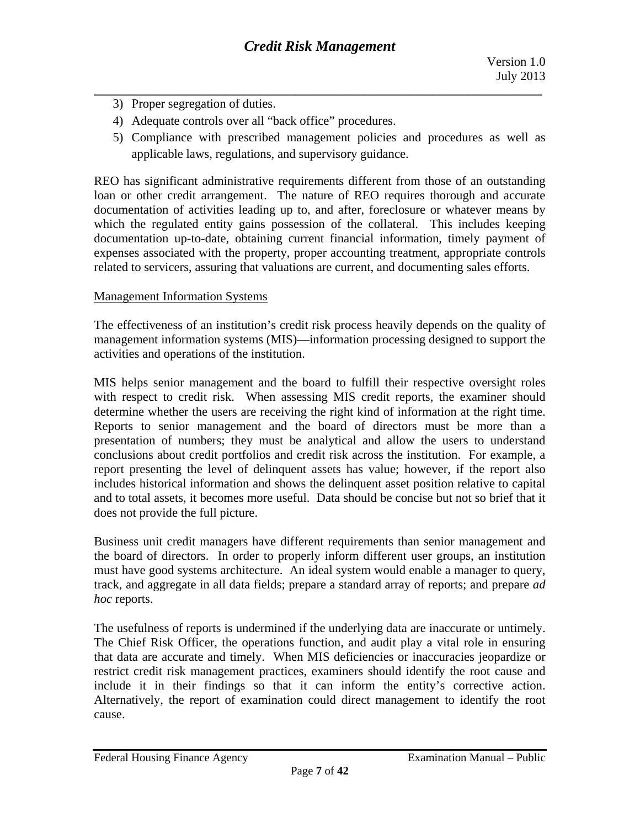- 3) Proper segregation of duties.
- 4) Adequate controls over all "back office" procedures.
- 5) Compliance with prescribed management policies and procedures as well as applicable laws, regulations, and supervisory guidance.

REO has significant administrative requirements different from those of an outstanding loan or other credit arrangement. The nature of REO requires thorough and accurate documentation of activities leading up to, and after, foreclosure or whatever means by which the regulated entity gains possession of the collateral. This includes keeping documentation up-to-date, obtaining current financial information, timely payment of expenses associated with the property, proper accounting treatment, appropriate controls related to servicers, assuring that valuations are current, and documenting sales efforts.

#### Management Information Systems

The effectiveness of an institution's credit risk process heavily depends on the quality of management information systems (MIS)—information processing designed to support the activities and operations of the institution.

MIS helps senior management and the board to fulfill their respective oversight roles with respect to credit risk. When assessing MIS credit reports, the examiner should determine whether the users are receiving the right kind of information at the right time. Reports to senior management and the board of directors must be more than a presentation of numbers; they must be analytical and allow the users to understand conclusions about credit portfolios and credit risk across the institution. For example, a report presenting the level of delinquent assets has value; however, if the report also includes historical information and shows the delinquent asset position relative to capital and to total assets, it becomes more useful. Data should be concise but not so brief that it does not provide the full picture.

Business unit credit managers have different requirements than senior management and the board of directors. In order to properly inform different user groups, an institution must have good systems architecture. An ideal system would enable a manager to query, track, and aggregate in all data fields; prepare a standard array of reports; and prepare *ad hoc* reports.

include it in their findings so that it can inform the entity's corrective action. The usefulness of reports is undermined if the underlying data are inaccurate or untimely. The Chief Risk Officer, the operations function, and audit play a vital role in ensuring that data are accurate and timely. When MIS deficiencies or inaccuracies jeopardize or restrict credit risk management practices, examiners should identify the root cause and Alternatively, the report of examination could direct management to identify the root cause.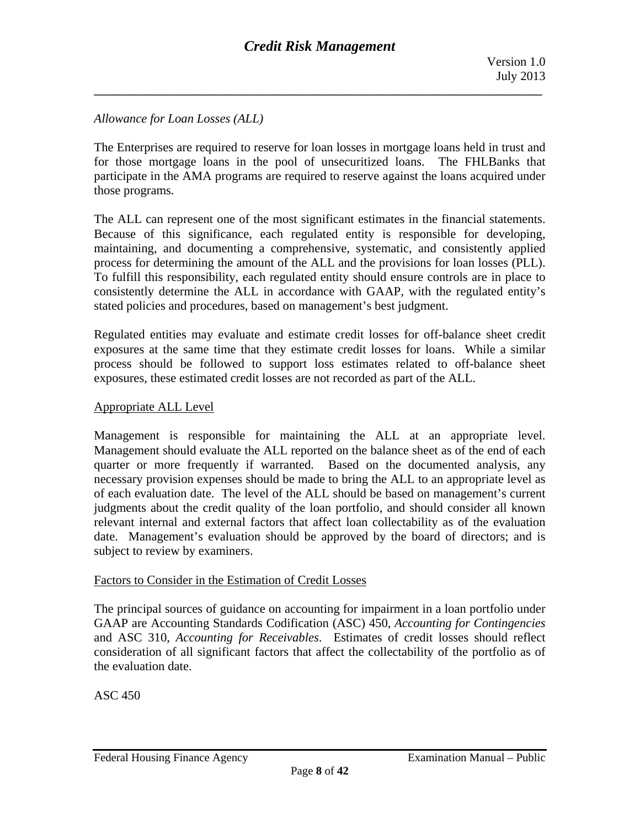## *Allowance for Loan Losses (ALL)*

The Enterprises are required to reserve for loan losses in mortgage loans held in trust and for those mortgage loans in the pool of unsecuritized loans. The FHLBanks that participate in the AMA programs are required to reserve against the loans acquired under those programs.

The ALL can represent one of the most significant estimates in the financial statements. Because of this significance, each regulated entity is responsible for developing, maintaining, and documenting a comprehensive, systematic, and consistently applied process for determining the amount of the ALL and the provisions for loan losses (PLL). To fulfill this responsibility, each regulated entity should ensure controls are in place to consistently determine the ALL in accordance with GAAP, with the regulated entity's stated policies and procedures, based on management's best judgment.

Regulated entities may evaluate and estimate credit losses for off-balance sheet credit exposures at the same time that they estimate credit losses for loans. While a similar process should be followed to support loss estimates related to off-balance sheet exposures, these estimated credit losses are not recorded as part of the ALL.

#### Appropriate ALL Level

Management is responsible for maintaining the ALL at an appropriate level. Management should evaluate the ALL reported on the balance sheet as of the end of each quarter or more frequently if warranted. Based on the documented analysis, any necessary provision expenses should be made to bring the ALL to an appropriate level as of each evaluation date. The level of the ALL should be based on management's current judgments about the credit quality of the loan portfolio, and should consider all known relevant internal and external factors that affect loan collectability as of the evaluation date. Management's evaluation should be approved by the board of directors; and is subject to review by examiners.

#### Factors to Consider in the Estimation of Credit Losses

The principal sources of guidance on accounting for impairment in a loan portfolio under GAAP are Accounting Standards Codification (ASC) 450, *Accounting for Contingencies*  and ASC 310, *Accounting for Receivables*. Estimates of credit losses should reflect consideration of all significant factors that affect the collectability of the portfolio as of the evaluation date.

ASC 450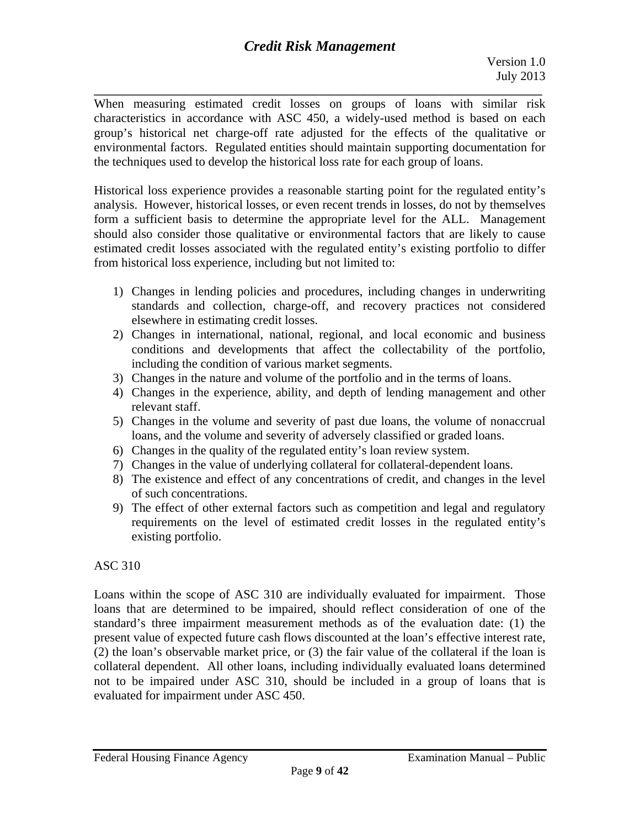**\_\_\_\_\_\_\_\_\_\_\_\_\_\_\_\_\_\_\_\_\_\_\_\_\_\_\_\_\_\_\_\_\_\_\_\_\_\_\_\_\_\_\_\_\_\_\_\_\_\_\_\_\_\_\_\_\_\_\_\_\_\_\_\_\_\_\_\_\_\_\_\_\_\_\_\_\_\_**  When measuring estimated credit losses on groups of loans with similar risk characteristics in accordance with ASC 450, a widely-used method is based on each group's historical net charge-off rate adjusted for the effects of the qualitative or environmental factors. Regulated entities should maintain supporting documentation for the techniques used to develop the historical loss rate for each group of loans.

Historical loss experience provides a reasonable starting point for the regulated entity's analysis. However, historical losses, or even recent trends in losses, do not by themselves form a sufficient basis to determine the appropriate level for the ALL. Management should also consider those qualitative or environmental factors that are likely to cause estimated credit losses associated with the regulated entity's existing portfolio to differ from historical loss experience, including but not limited to:

- 1) Changes in lending policies and procedures, including changes in underwriting standards and collection, charge-off, and recovery practices not considered elsewhere in estimating credit losses.
- 2) Changes in international, national, regional, and local economic and business conditions and developments that affect the collectability of the portfolio, including the condition of various market segments.
- 3) Changes in the nature and volume of the portfolio and in the terms of loans.
- 4) Changes in the experience, ability, and depth of lending management and other relevant staff.
- 5) Changes in the volume and severity of past due loans, the volume of nonaccrual loans, and the volume and severity of adversely classified or graded loans.
- 6) Changes in the quality of the regulated entity's loan review system.
- 7) Changes in the value of underlying collateral for collateral-dependent loans.
- 8) The existence and effect of any concentrations of credit, and changes in the level of such concentrations.
- 9)The effect of other external factors such as competition and legal and regulatory requirements on the level of estimated credit losses in the regulated entity's existing portfolio.

## ASC 310

Loans within the scope of ASC 310 are individually evaluated for impairment. Those loans that are determined to be impaired, should reflect consideration of one of the standard's three impairment measurement methods as of the evaluation date: (1) the present value of expected future cash flows discounted at the loan's effective interest rate, (2) the loan's observable market price, or (3) the fair value of the collateral if the loan is collateral dependent. All other loans, including individually evaluated loans determined not to be impaired under ASC 310, should be included in a group of loans that is evaluated for impairment under ASC 450.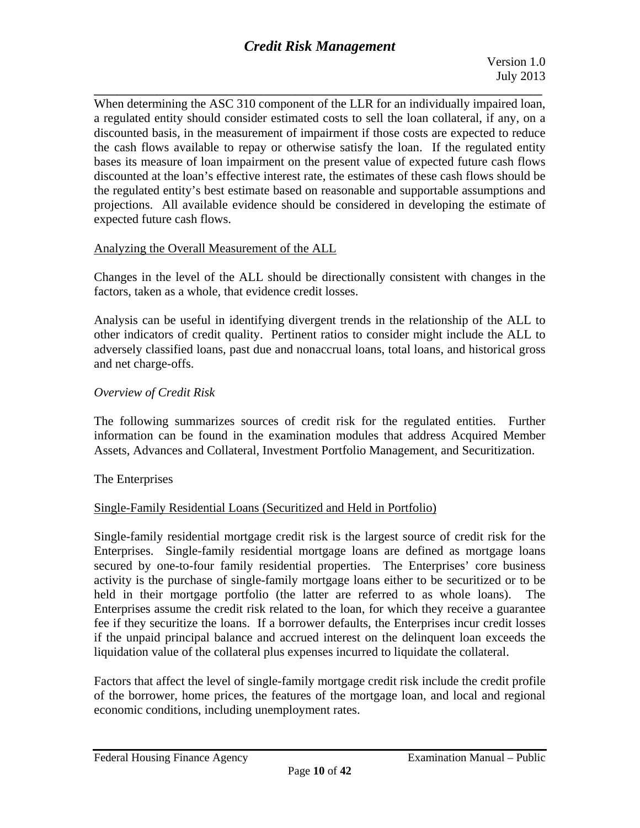When determining the ASC 310 component of the LLR for an individually impaired loan, a regulated entity should consider estimated costs to sell the loan collateral, if any, on a discounted basis, in the measurement of impairment if those costs are expected to reduce the cash flows available to repay or otherwise satisfy the loan. If the regulated entity bases its measure of loan impairment on the present value of expected future cash flows discounted at the loan's effective interest rate, the estimates of these cash flows should be the regulated entity's best estimate based on reasonable and supportable assumptions and projections. All available evidence should be considered in developing the estimate of expected future cash flows.

## Analyzing the Overall Measurement of the ALL

Changes in the level of the ALL should be directionally consistent with changes in the factors, taken as a whole, that evidence credit losses.

Analysis can be useful in identifying divergent trends in the relationship of the ALL to other indicators of credit quality. Pertinent ratios to consider might include the ALL to adversely classified loans, past due and nonaccrual loans, total loans, and historical gross and net charge-offs.

## *Overview of Credit Risk*

The following summarizes sources of credit risk for the regulated entities. Further information can be found in the examination modules that address Acquired Member Assets, Advances and Collateral, Investment Portfolio Management, and Securitization.

The Enterprises

## Single-Family Residential Loans (Securitized and Held in Portfolio)

Single-family residential mortgage credit risk is the largest source of credit risk for the Enterprises. Single-family residential mortgage loans are defined as mortgage loans secured by one-to-four family residential properties. The Enterprises' core business activity is the purchase of single-family mortgage loans either to be securitized or to be held in their mortgage portfolio (the latter are referred to as whole loans). The Enterprises assume the credit risk related to the loan, for which they receive a guarantee fee if they securitize the loans. If a borrower defaults, the Enterprises incur credit losses if the unpaid principal balance and accrued interest on the delinquent loan exceeds the liquidation value of the collateral plus expenses incurred to liquidate the collateral.

Factors that affect the level of single-family mortgage credit risk include the credit profile of the borrower, home prices, the features of the mortgage loan, and local and regional economic conditions, including unemployment rates.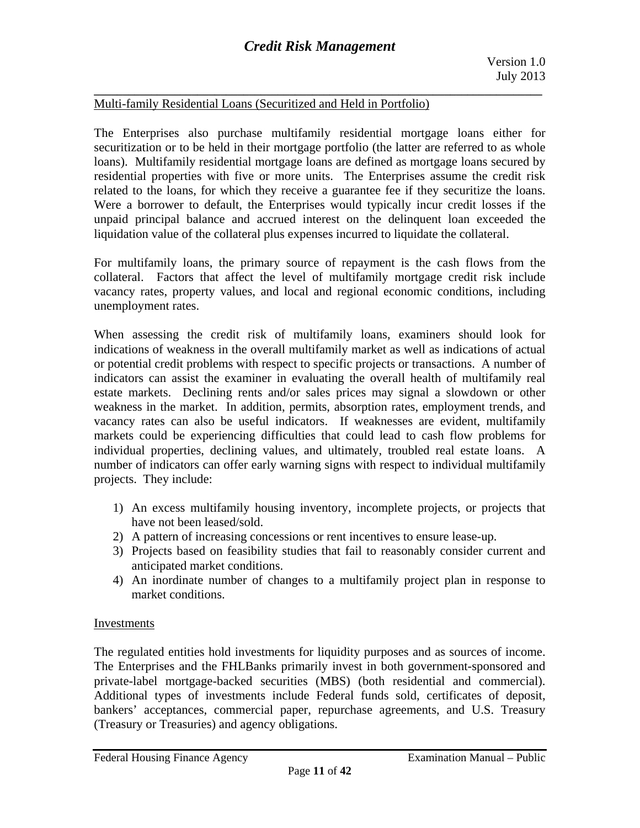## Multi-family Residential Loans (Securitized and Held in Portfolio)

The Enterprises also purchase multifamily residential mortgage loans either for securitization or to be held in their mortgage portfolio (the latter are referred to as whole loans). Multifamily residential mortgage loans are defined as mortgage loans secured by residential properties with five or more units. The Enterprises assume the credit risk related to the loans, for which they receive a guarantee fee if they securitize the loans. Were a borrower to default, the Enterprises would typically incur credit losses if the unpaid principal balance and accrued interest on the delinquent loan exceeded the liquidation value of the collateral plus expenses incurred to liquidate the collateral.

For multifamily loans, the primary source of repayment is the cash flows from the collateral. Factors that affect the level of multifamily mortgage credit risk include vacancy rates, property values, and local and regional economic conditions, including unemployment rates.

When assessing the credit risk of multifamily loans, examiners should look for indications of weakness in the overall multifamily market as well as indications of actual or potential credit problems with respect to specific projects or transactions. A number of indicators can assist the examiner in evaluating the overall health of multifamily real estate markets. Declining rents and/or sales prices may signal a slowdown or other weakness in the market. In addition, permits, absorption rates, employment trends, and vacancy rates can also be useful indicators. If weaknesses are evident, multifamily markets could be experiencing difficulties that could lead to cash flow problems for individual properties, declining values, and ultimately, troubled real estate loans. A number of indicators can offer early warning signs with respect to individual multifamily projects. They include:

- 1) An excess multifamily housing inventory, incomplete projects, or projects that have not been leased/sold.
- 2) A pattern of increasing concessions or rent incentives to ensure lease-up.
- 3) Projects based on feasibility studies that fail to reasonably consider current and anticipated market conditions.
- 4) An inordinate number of changes to a multifamily project plan in response to market conditions.

## Investments

The regulated entities hold investments for liquidity purposes and as sources of income. The Enterprises and the FHLBanks primarily invest in both government-sponsored and private-label mortgage-backed securities (MBS) (both residential and commercial). Additional types of investments include Federal funds sold, certificates of deposit, bankers' acceptances, commercial paper, repurchase agreements, and U.S. Treasury (Treasury or Treasuries) and agency obligations.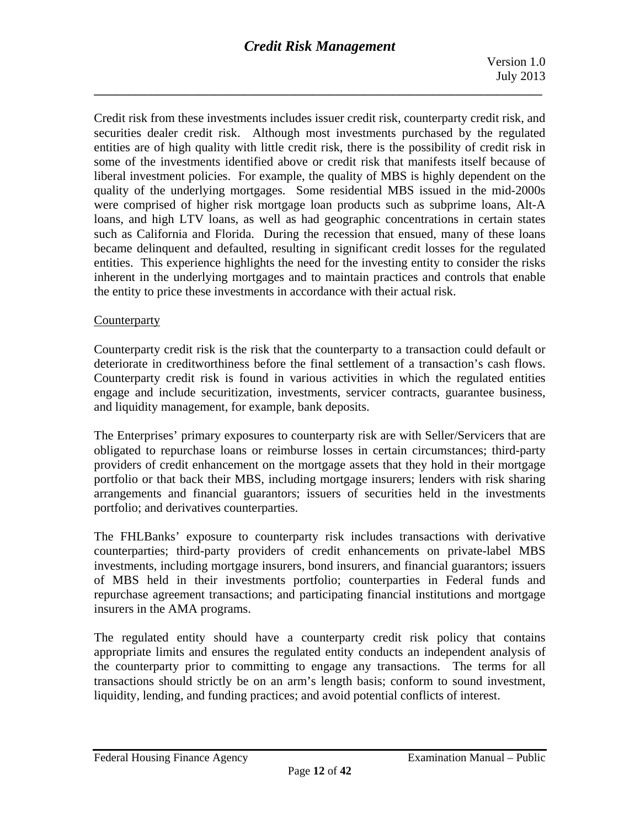Credit risk from these investments includes issuer credit risk, counterparty credit risk, and securities dealer credit risk. Although most investments purchased by the regulated entities are of high quality with little credit risk, there is the possibility of credit risk in some of the investments identified above or credit risk that manifests itself because of liberal investment policies. For example, the quality of MBS is highly dependent on the quality of the underlying mortgages. Some residential MBS issued in the mid-2000s were comprised of higher risk mortgage loan products such as subprime loans, Alt-A loans, and high LTV loans, as well as had geographic concentrations in certain states such as California and Florida. During the recession that ensued, many of these loans became delinquent and defaulted, resulting in significant credit losses for the regulated entities. This experience highlights the need for the investing entity to consider the risks inherent in the underlying mortgages and to maintain practices and controls that enable the entity to price these investments in accordance with their actual risk.

## **Counterparty**

Counterparty credit risk is the risk that the counterparty to a transaction could default or deteriorate in creditworthiness before the final settlement of a transaction's cash flows. Counterparty credit risk is found in various activities in which the regulated entities engage and include securitization, investments, servicer contracts, guarantee business, and liquidity management, for example, bank deposits.

The Enterprises' primary exposures to counterparty risk are with Seller/Servicers that are obligated to repurchase loans or reimburse losses in certain circumstances; third-party providers of credit enhancement on the mortgage assets that they hold in their mortgage portfolio or that back their MBS, including mortgage insurers; lenders with risk sharing arrangements and financial guarantors; issuers of securities held in the investments portfolio; and derivatives counterparties.

The FHLBanks' exposure to counterparty risk includes transactions with derivative counterparties; third-party providers of credit enhancements on private-label MBS investments, including mortgage insurers, bond insurers, and financial guarantors; issuers of MBS held in their investments portfolio; counterparties in Federal funds and repurchase agreement transactions; and participating financial institutions and mortgage insurers in the AMA programs.

The regulated entity should have a counterparty credit risk policy that contains appropriate limits and ensures the regulated entity conducts an independent analysis of the counterparty prior to committing to engage any transactions. The terms for all transactions should strictly be on an arm's length basis; conform to sound investment, liquidity, lending, and funding practices; and avoid potential conflicts of interest.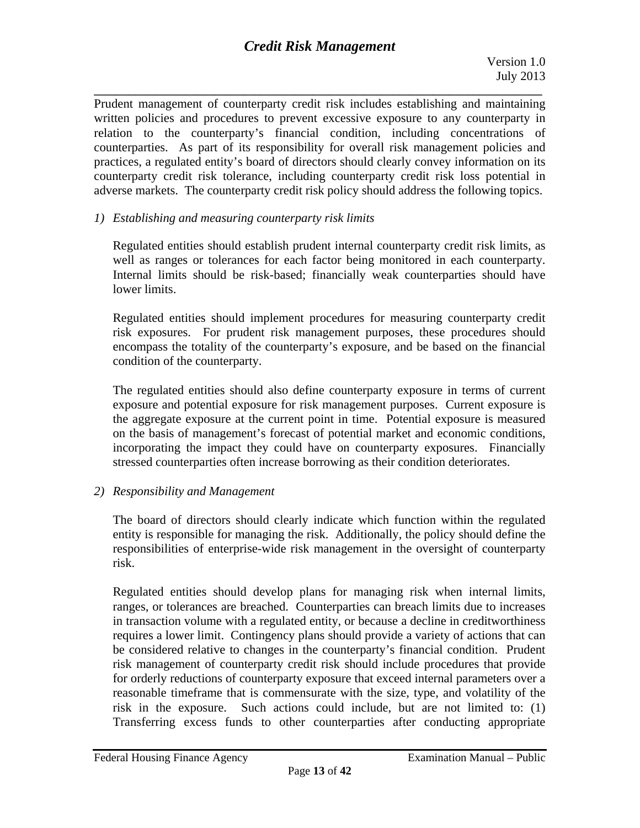**\_\_\_\_\_\_\_\_\_\_\_\_\_\_\_\_\_\_\_\_\_\_\_\_\_\_\_\_\_\_\_\_\_\_\_\_\_\_\_\_\_\_\_\_\_\_\_\_\_\_\_\_\_\_\_\_\_\_\_\_\_\_\_\_\_\_\_\_\_\_\_\_\_\_\_\_\_\_**  Prudent management of counterparty credit risk includes establishing and maintaining written policies and procedures to prevent excessive exposure to any counterparty in relation to the counterparty's financial condition, including concentrations of counterparties. As part of its responsibility for overall risk management policies and practices, a regulated entity's board of directors should clearly convey information on its counterparty credit risk tolerance, including counterparty credit risk loss potential in adverse markets. The counterparty credit risk policy should address the following topics.

## *1) Establishing and measuring counterparty risk limits*

well as ranges or tolerances for each factor being monitored in each counterparty. Regulated entities should establish prudent internal counterparty credit risk limits, as Internal limits should be risk-based; financially weak counterparties should have lower limits.

Regulated entities should implement procedures for measuring counterparty credit risk exposures. For prudent risk management purposes, these procedures should encompass the totality of the counterparty's exposure, and be based on the financial condition of the counterparty.

The regulated entities should also define counterparty exposure in terms of current exposure and potential exposure for risk management purposes. Current exposure is the aggregate exposure at the current point in time. Potential exposure is measured on the basis of management's forecast of potential market and economic conditions, incorporating the impact they could have on counterparty exposures. Financially stressed counterparties often increase borrowing as their condition deteriorates.

## *2) Responsibility and Management*

The board of directors should clearly indicate which function within the regulated entity is responsible for managing the risk. Additionally, the policy should define the responsibilities of enterprise-wide risk management in the oversight of counterparty risk.

Regulated entities should develop plans for managing risk when internal limits, ranges, or tolerances are breached. Counterparties can breach limits due to increases in transaction volume with a regulated entity, or because a decline in creditworthiness requires a lower limit. Contingency plans should provide a variety of actions that can be considered relative to changes in the counterparty's financial condition. Prudent risk management of counterparty credit risk should include procedures that provide for orderly reductions of counterparty exposure that exceed internal parameters over a reasonable timeframe that is commensurate with the size, type, and volatility of the risk in the exposure. Such actions could include, but are not limited to: (1) Transferring excess funds to other counterparties after conducting appropriate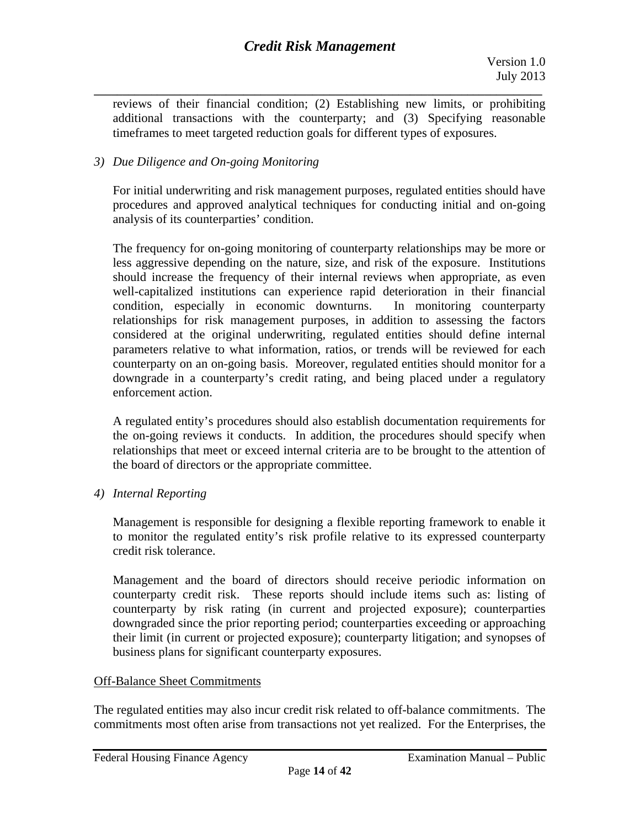**\_\_\_\_\_\_\_\_\_\_\_\_\_\_\_\_\_\_\_\_\_\_\_\_\_\_\_\_\_\_\_\_\_\_\_\_\_\_\_\_\_\_\_\_\_\_\_\_\_\_\_\_\_\_\_\_\_\_\_\_\_\_\_\_\_\_\_\_\_\_\_\_\_\_\_\_\_\_**  reviews of their financial condition; (2) Establishing new limits, or prohibiting additional transactions with the counterparty; and (3) Specifying reasonable timeframes to meet targeted reduction goals for different types of exposures.

## *3) Due Diligence and On-going Monitoring*

For initial underwriting and risk management purposes, regulated entities should have procedures and approved analytical techniques for conducting initial and on-going analysis of its counterparties' condition.

The frequency for on-going monitoring of counterparty relationships may be more or less aggressive depending on the nature, size, and risk of the exposure. Institutions should increase the frequency of their internal reviews when appropriate, as even well-capitalized institutions can experience rapid deterioration in their financial condition, especially in economic downturns. In monitoring counterparty relationships for risk management purposes, in addition to assessing the factors considered at the original underwriting, regulated entities should define internal parameters relative to what information, ratios, or trends will be reviewed for each counterparty on an on-going basis. Moreover, regulated entities should monitor for a downgrade in a counterparty's credit rating, and being placed under a regulatory enforcement action.

A regulated entity's procedures should also establish documentation requirements for the on-going reviews it conducts. In addition, the procedures should specify when relationships that meet or exceed internal criteria are to be brought to the attention of the board of directors or the appropriate committee.

*4) Internal Reporting* 

Management is responsible for designing a flexible reporting framework to enable it to monitor the regulated entity's risk profile relative to its expressed counterparty credit risk tolerance.

Management and the board of directors should receive periodic information on counterparty credit risk. These reports should include items such as: listing of counterparty by risk rating (in current and projected exposure); counterparties downgraded since the prior reporting period; counterparties exceeding or approaching their limit (in current or projected exposure); counterparty litigation; and synopses of business plans for significant counterparty exposures.

## Off-Balance Sheet Commitments

The regulated entities may also incur credit risk related to off-balance commitments. The commitments most often arise from transactions not yet realized. For the Enterprises, the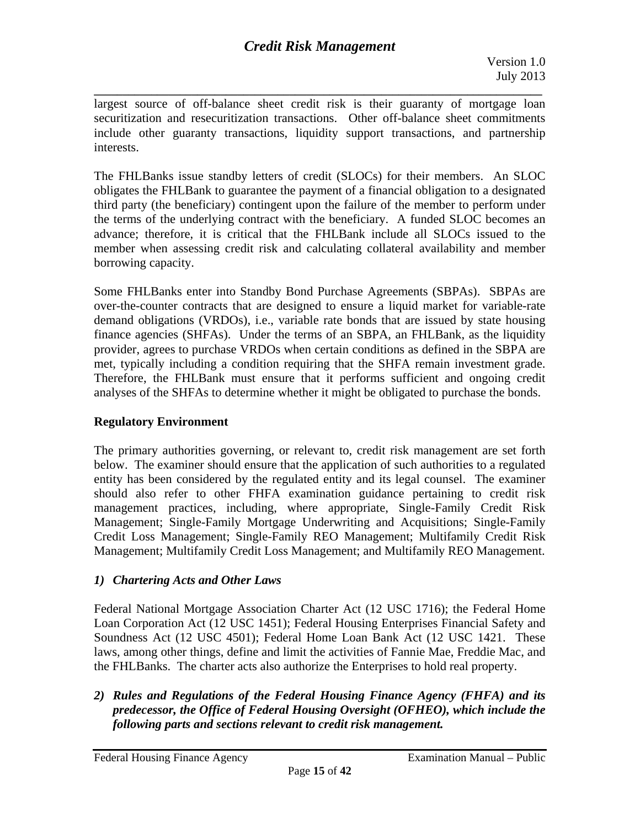**\_\_\_\_\_\_\_\_\_\_\_\_\_\_\_\_\_\_\_\_\_\_\_\_\_\_\_\_\_\_\_\_\_\_\_\_\_\_\_\_\_\_\_\_\_\_\_\_\_\_\_\_\_\_\_\_\_\_\_\_\_\_\_\_\_\_\_\_\_\_\_\_\_\_\_\_\_\_**  largest source of off-balance sheet credit risk is their guaranty of mortgage loan securitization and resecuritization transactions. Other off-balance sheet commitments include other guaranty transactions, liquidity support transactions, and partnership interests.

The FHLBanks issue standby letters of credit (SLOCs) for their members. An SLOC obligates the FHLBank to guarantee the payment of a financial obligation to a designated third party (the beneficiary) contingent upon the failure of the member to perform under the terms of the underlying contract with the beneficiary. A funded SLOC becomes an advance; therefore, it is critical that the FHLBank include all SLOCs issued to the member when assessing credit risk and calculating collateral availability and member borrowing capacity.

Some FHLBanks enter into Standby Bond Purchase Agreements (SBPAs). SBPAs are over-the-counter contracts that are designed to ensure a liquid market for variable-rate demand obligations (VRDOs), i.e., variable rate bonds that are issued by state housing finance agencies (SHFAs). Under the terms of an SBPA, an FHLBank, as the liquidity provider, agrees to purchase VRDOs when certain conditions as defined in the SBPA are met, typically including a condition requiring that the SHFA remain investment grade. Therefore, the FHLBank must ensure that it performs sufficient and ongoing credit analyses of the SHFAs to determine whether it might be obligated to purchase the bonds.

## **Regulatory Environment**

The primary authorities governing, or relevant to, credit risk management are set forth below. The examiner should ensure that the application of such authorities to a regulated entity has been considered by the regulated entity and its legal counsel. The examiner should also refer to other FHFA examination guidance pertaining to credit risk management practices, including, where appropriate, Single-Family Credit Risk Management; Single-Family Mortgage Underwriting and Acquisitions; Single-Family Credit Loss Management; Single-Family REO Management; Multifamily Credit Risk Management; Multifamily Credit Loss Management; and Multifamily REO Management.

## *1) Chartering Acts and Other Laws*

Federal National Mortgage Association Charter Act (12 USC 1716); the Federal Home Loan Corporation Act (12 USC 1451); Federal Housing Enterprises Financial Safety and Soundness Act (12 USC 4501); Federal Home Loan Bank Act (12 USC 1421. These laws, among other things, define and limit the activities of Fannie Mae, Freddie Mac, and the FHLBanks. The charter acts also authorize the Enterprises to hold real property.

*2) Rules and Regulations of the Federal Housing Finance Agency (FHFA) and its predecessor, the Office of Federal Housing Oversight (OFHEO), which include the following parts and sections relevant to credit risk management.*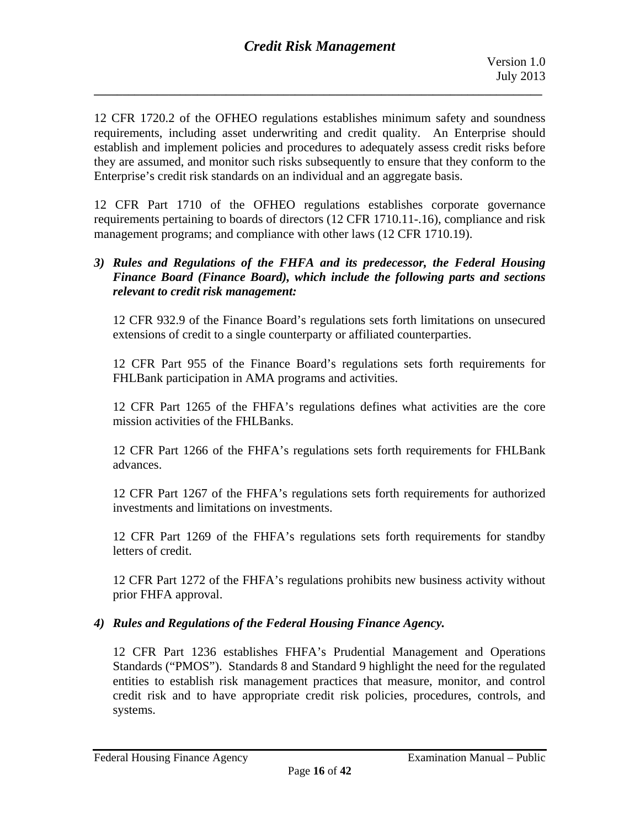12 CFR 1720.2 of the OFHEO regulations establishes minimum safety and soundness requirements, including asset underwriting and credit quality. An Enterprise should establish and implement policies and procedures to adequately assess credit risks before they are assumed, and monitor such risks subsequently to ensure that they conform to the Enterprise's credit risk standards on an individual and an aggregate basis.

12 CFR Part 1710 of the OFHEO regulations establishes corporate governance requirements pertaining to boards of directors (12 CFR 1710.11-.16), compliance and risk management programs; and compliance with other laws (12 CFR 1710.19).

## *relevant to credit risk management: 3) Rules and Regulations of the FHFA and its predecessor, the Federal Housing Finance Board (Finance Board), which include the following parts and sections*

12 CFR 932.9 of the Finance Board's regulations sets forth limitations on unsecured extensions of credit to a single counterparty or affiliated counterparties.

12 CFR Part 955 of the Finance Board's regulations sets forth requirements for FHLBank participation in AMA programs and activities.

12 CFR Part 1265 of the FHFA's regulations defines what activities are the core mission activities of the FHLBanks.

12 CFR Part 1266 of the FHFA's regulations sets forth requirements for FHLBank advances.

12 CFR Part 1267 of the FHFA's regulations sets forth requirements for authorized investments and limitations on investments.

12 CFR Part 1269 of the FHFA's regulations sets forth requirements for standby letters of credit.

12 CFR Part 1272 of the FHFA's regulations prohibits new business activity without prior FHFA approval.

## *4) Rules and Regulations of the Federal Housing Finance Agency.*

12 CFR Part 1236 establishes FHFA's Prudential Management and Operations Standards ("PMOS"). Standards 8 and Standard 9 highlight the need for the regulated entities to establish risk management practices that measure, monitor, and control credit risk and to have appropriate credit risk policies, procedures, controls, and systems.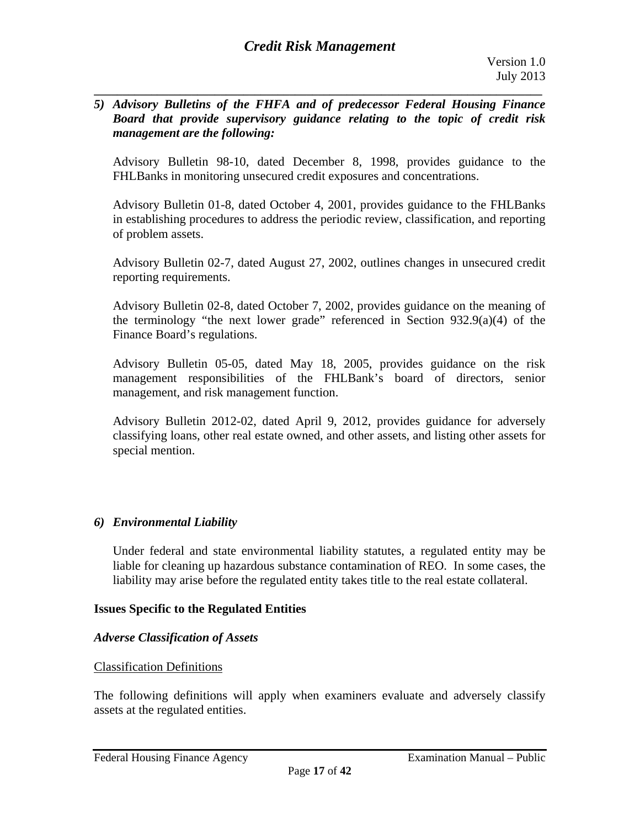#### *5) Advisory Bulletins of the FHFA and of predecessor Federal Housing Finance Board that provide supervisory guidance relating to the topic of credit risk management are the following:*

**\_\_\_\_\_\_\_\_\_\_\_\_\_\_\_\_\_\_\_\_\_\_\_\_\_\_\_\_\_\_\_\_\_\_\_\_\_\_\_\_\_\_\_\_\_\_\_\_\_\_\_\_\_\_\_\_\_\_\_\_\_\_\_\_\_\_\_\_\_\_\_\_\_\_\_\_\_\_** 

Advisory Bulletin 98-10, dated December 8, 1998, provides guidance to the FHLBanks in monitoring unsecured credit exposures and concentrations.

Advisory Bulletin 01-8, dated October 4, 2001, provides guidance to the FHLBanks in establishing procedures to address the periodic review, classification, and reporting of problem assets.

Advisory Bulletin 02-7, dated August 27, 2002, outlines changes in unsecured credit reporting requirements.

Advisory Bulletin 02-8, dated October 7, 2002, provides guidance on the meaning of the terminology "the next lower grade" referenced in Section 932.9(a)(4) of the Finance Board's regulations.

Advisory Bulletin 05-05, dated May 18, 2005, provides guidance on the risk management responsibilities of the FHLBank's board of directors, senior management, and risk management function.

Advisory Bulletin 2012-02, dated April 9, 2012, provides guidance for adversely classifying loans, other real estate owned, and other assets, and listing other assets for special mention.

## *6) Environmental Liability*

Under federal and state environmental liability statutes, a regulated entity may be liable for cleaning up hazardous substance contamination of REO. In some cases, the liability may arise before the regulated entity takes title to the real estate collateral.

## **Issues Specific to the Regulated Entities**

## *Adverse Classification of Assets*

## Classification Definitions

The following definitions will apply when examiners evaluate and adversely classify assets at the regulated entities.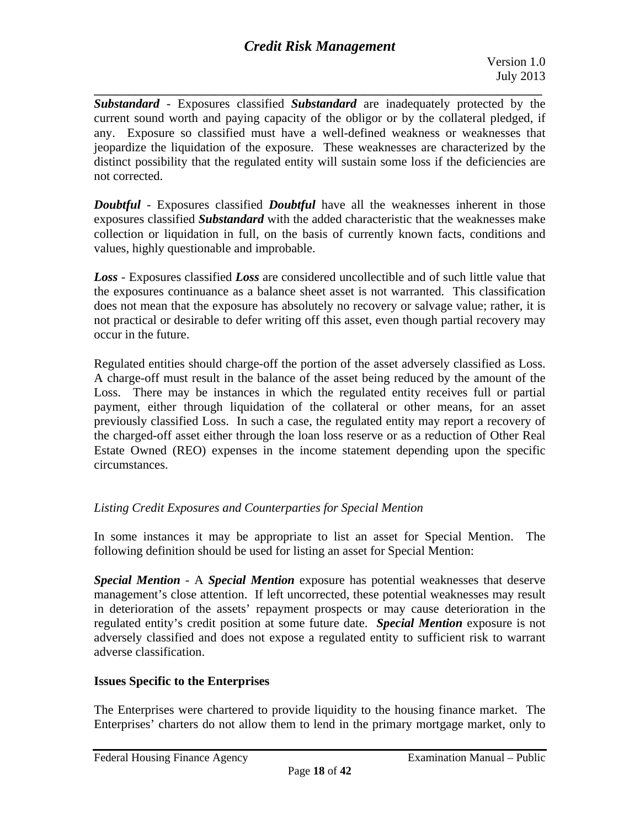**\_\_\_\_\_\_\_\_\_\_\_\_\_\_\_\_\_\_\_\_\_\_\_\_\_\_\_\_\_\_\_\_\_\_\_\_\_\_\_\_\_\_\_\_\_\_\_\_\_\_\_\_\_\_\_\_\_\_\_\_\_\_\_\_\_\_\_\_\_\_\_\_\_\_\_\_\_\_**  *Substandard -* Exposures classified *Substandard* are inadequately protected by the current sound worth and paying capacity of the obligor or by the collateral pledged, if any. Exposure so classified must have a well-defined weakness or weaknesses that jeopardize the liquidation of the exposure. These weaknesses are characterized by the distinct possibility that the regulated entity will sustain some loss if the deficiencies are not corrected.

*Doubtful* - Exposures classified *Doubtful* have all the weaknesses inherent in those exposures classified *Substandard* with the added characteristic that the weaknesses make collection or liquidation in full, on the basis of currently known facts, conditions and values, highly questionable and improbable.

*Loss -* Exposures classified *Loss* are considered uncollectible and of such little value that the exposures continuance as a balance sheet asset is not warranted. This classification does not mean that the exposure has absolutely no recovery or salvage value; rather, it is not practical or desirable to defer writing off this asset, even though partial recovery may occur in the future.

Regulated entities should charge-off the portion of the asset adversely classified as Loss. A charge-off must result in the balance of the asset being reduced by the amount of the Loss. There may be instances in which the regulated entity receives full or partial payment, either through liquidation of the collateral or other means, for an asset previously classified Loss. In such a case, the regulated entity may report a recovery of the charged-off asset either through the loan loss reserve or as a reduction of Other Real Estate Owned (REO) expenses in the income statement depending upon the specific circumstances.

## *Listing Credit Exposures and Counterparties for Special Mention*

In some instances it may be appropriate to list an asset for Special Mention. The following definition should be used for listing an asset for Special Mention:

*Special Mention -* A *Special Mention* exposure has potential weaknesses that deserve management's close attention. If left uncorrected, these potential weaknesses may result in deterioration of the assets' repayment prospects or may cause deterioration in the regulated entity's credit position at some future date. *Special Mention* exposure is not adversely classified and does not expose a regulated entity to sufficient risk to warrant adverse classification.

## **Issues Specific to the Enterprises**

The Enterprises were chartered to provide liquidity to the housing finance market. The Enterprises' charters do not allow them to lend in the primary mortgage market, only to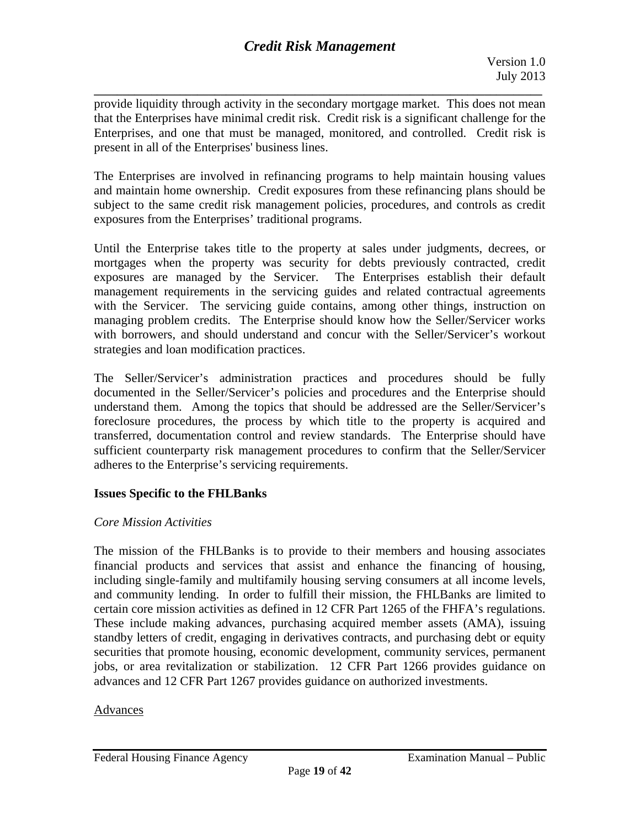**\_\_\_\_\_\_\_\_\_\_\_\_\_\_\_\_\_\_\_\_\_\_\_\_\_\_\_\_\_\_\_\_\_\_\_\_\_\_\_\_\_\_\_\_\_\_\_\_\_\_\_\_\_\_\_\_\_\_\_\_\_\_\_\_\_\_\_\_\_\_\_\_\_\_\_\_\_\_**  provide liquidity through activity in the secondary mortgage market. This does not mean that the Enterprises have minimal credit risk. Credit risk is a significant challenge for the Enterprises, and one that must be managed, monitored, and controlled. Credit risk is present in all of the Enterprises' business lines.

The Enterprises are involved in refinancing programs to help maintain housing values and maintain home ownership. Credit exposures from these refinancing plans should be subject to the same credit risk management policies, procedures, and controls as credit exposures from the Enterprises' traditional programs.

Until the Enterprise takes title to the property at sales under judgments, decrees, or mortgages when the property was security for debts previously contracted, credit exposures are managed by the Servicer. The Enterprises establish their default management requirements in the servicing guides and related contractual agreements with the Servicer. The servicing guide contains, among other things, instruction on managing problem credits. The Enterprise should know how the Seller/Servicer works with borrowers, and should understand and concur with the Seller/Servicer's workout strategies and loan modification practices.

The Seller/Servicer's administration practices and procedures should be fully documented in the Seller/Servicer's policies and procedures and the Enterprise should understand them. Among the topics that should be addressed are the Seller/Servicer's foreclosure procedures, the process by which title to the property is acquired and transferred, documentation control and review standards. The Enterprise should have sufficient counterparty risk management procedures to confirm that the Seller/Servicer adheres to the Enterprise's servicing requirements.

## **Issues Specific to the FHLBanks**

## *Core Mission Activities*

The mission of the FHLBanks is to provide to their members and housing associates financial products and services that assist and enhance the financing of housing, including single-family and multifamily housing serving consumers at all income levels, and community lending. In order to fulfill their mission, the FHLBanks are limited to certain core mission activities as defined in 12 CFR Part 1265 of the FHFA's regulations. These include making advances, purchasing acquired member assets (AMA), issuing standby letters of credit, engaging in derivatives contracts, and purchasing debt or equity securities that promote housing, economic development, community services, permanent jobs, or area revitalization or stabilization. 12 CFR Part 1266 provides guidance on advances and 12 CFR Part 1267 provides guidance on authorized investments.

## Advances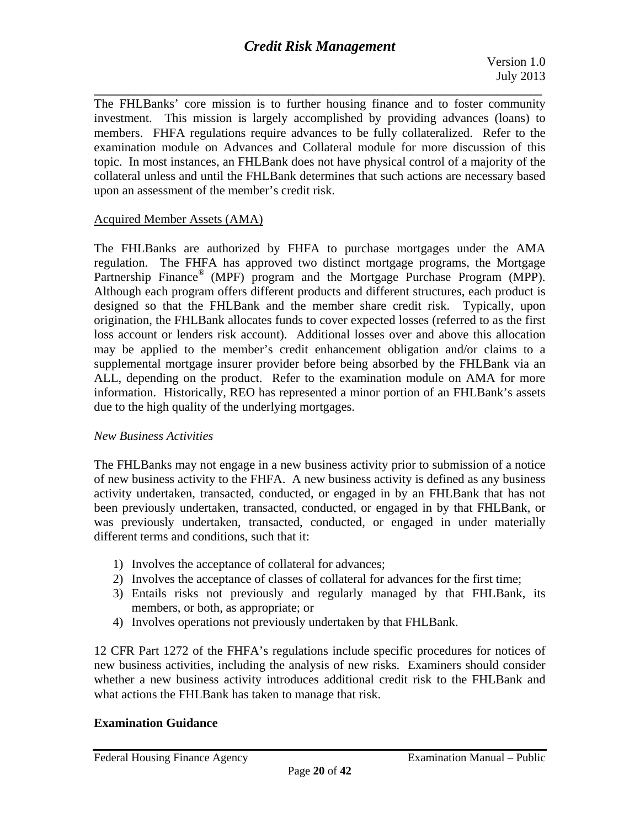**\_\_\_\_\_\_\_\_\_\_\_\_\_\_\_\_\_\_\_\_\_\_\_\_\_\_\_\_\_\_\_\_\_\_\_\_\_\_\_\_\_\_\_\_\_\_\_\_\_\_\_\_\_\_\_\_\_\_\_\_\_\_\_\_\_\_\_\_\_\_\_\_\_\_\_\_\_\_**  The FHLBanks' core mission is to further housing finance and to foster community investment. This mission is largely accomplished by providing advances (loans) to members. FHFA regulations require advances to be fully collateralized. Refer to the examination module on Advances and Collateral module for more discussion of this topic. In most instances, an FHLBank does not have physical control of a majority of the collateral unless and until the FHLBank determines that such actions are necessary based upon an assessment of the member's credit risk.

## Acquired Member Assets (AMA)

The FHLBanks are authorized by FHFA to purchase mortgages under the AMA regulation. The FHFA has approved two distinct mortgage programs, the Mortgage Partnership Finance<sup>®</sup> (MPF) program and the Mortgage Purchase Program (MPP). Although each program offers different products and different structures, each product is designed so that the FHLBank and the member share credit risk. Typically, upon origination, the FHLBank allocates funds to cover expected losses (referred to as the first loss account or lenders risk account). Additional losses over and above this allocation may be applied to the member's credit enhancement obligation and/or claims to a supplemental mortgage insurer provider before being absorbed by the FHLBank via an ALL, depending on the product. Refer to the examination module on AMA for more information. Historically, REO has represented a minor portion of an FHLBank's assets due to the high quality of the underlying mortgages.

#### *New Business Activities*

The FHLBanks may not engage in a new business activity prior to submission of a notice of new business activity to the FHFA. A new business activity is defined as any business activity undertaken, transacted, conducted, or engaged in by an FHLBank that has not been previously undertaken, transacted, conducted, or engaged in by that FHLBank, or was previously undertaken, transacted, conducted, or engaged in under materially different terms and conditions, such that it:

- 1) Involves the acceptance of collateral for advances;
- 2) Involves the acceptance of classes of collateral for advances for the first time;
- 3) Entails risks not previously and regularly managed by that FHLBank, its members, or both, as appropriate; or
- 4) Involves operations not previously undertaken by that FHLBank.

12 CFR Part 1272 of the FHFA's regulations include specific procedures for notices of new business activities, including the analysis of new risks. Examiners should consider whether a new business activity introduces additional credit risk to the FHLBank and what actions the FHLBank has taken to manage that risk.

## **Examination Guidance**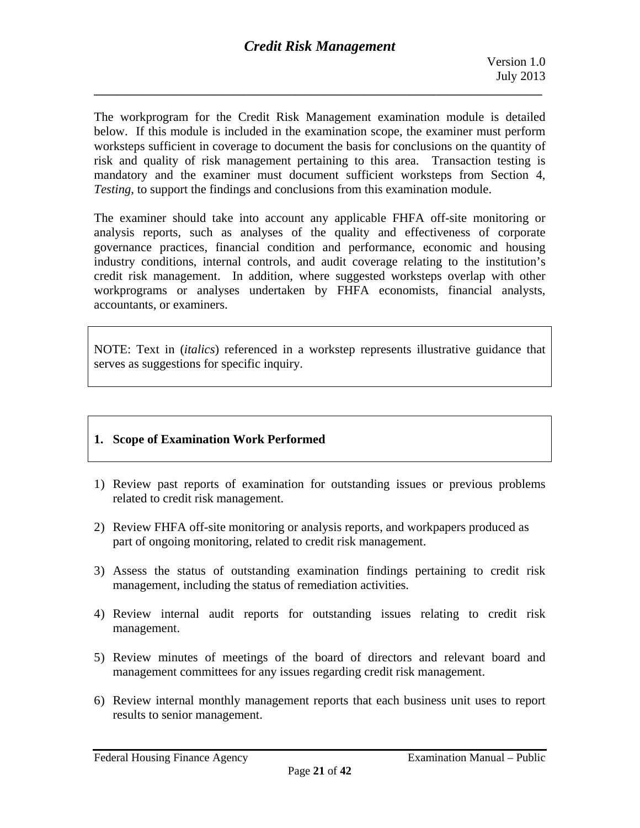The workprogram for the Credit Risk Management examination module is detailed below. If this module is included in the examination scope, the examiner must perform worksteps sufficient in coverage to document the basis for conclusions on the quantity of risk and quality of risk management pertaining to this area. Transaction testing is mandatory and the examiner must document sufficient worksteps from Section 4, *Testing*, to support the findings and conclusions from this examination module.

The examiner should take into account any applicable FHFA off-site monitoring or analysis reports, such as analyses of the quality and effectiveness of corporate governance practices, financial condition and performance, economic and housing industry conditions, internal controls, and audit coverage relating to the institution's credit risk management. In addition, where suggested worksteps overlap with other workprograms or analyses undertaken by FHFA economists, financial analysts, accountants, or examiners.

NOTE: Text in (*italics*) referenced in a workstep represents illustrative guidance that serves as suggestions for specific inquiry.

## **1. Scope of Examination Work Performed**

- 1) Review past reports of examination for outstanding issues or previous problems related to credit risk management.
- 2) Review FHFA off-site monitoring or analysis reports, and workpapers produced as part of ongoing monitoring, related to credit risk management.
- 3) Assess the status of outstanding examination findings pertaining to credit risk management, including the status of remediation activities.
- 4) Review internal audit reports for outstanding issues relating to credit risk management.
- 5) Review minutes of meetings of the board of directors and relevant board and management committees for any issues regarding credit risk management.
- 6) Review internal monthly management reports that each business unit uses to report results to senior management.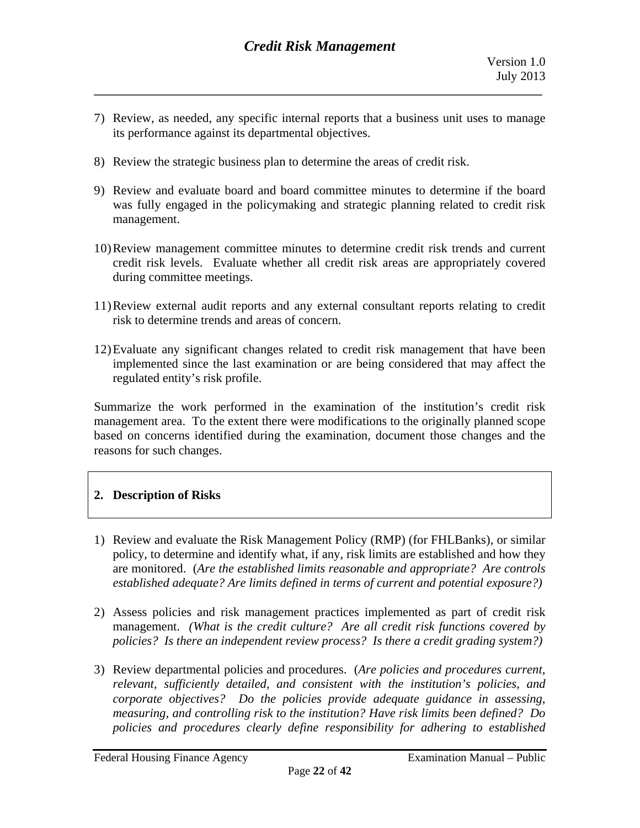7) Review, as needed, any specific internal reports that a business unit uses to manage its performance against its departmental objectives.

**\_\_\_\_\_\_\_\_\_\_\_\_\_\_\_\_\_\_\_\_\_\_\_\_\_\_\_\_\_\_\_\_\_\_\_\_\_\_\_\_\_\_\_\_\_\_\_\_\_\_\_\_\_\_\_\_\_\_\_\_\_\_\_\_\_\_\_\_\_\_\_\_\_\_\_\_\_\_** 

- 8) Review the strategic business plan to determine the areas of credit risk.
- 9) Review and evaluate board and board committee minutes to determine if the board was fully engaged in the policymaking and strategic planning related to credit risk management.
- 10)Review management committee minutes to determine credit risk trends and current credit risk levels. Evaluate whether all credit risk areas are appropriately covered during committee meetings.
- 11)Review external audit reports and any external consultant reports relating to credit risk to determine trends and areas of concern.
- 12)Evaluate any significant changes related to credit risk management that have been implemented since the last examination or are being considered that may affect the regulated entity's risk profile.

Summarize the work performed in the examination of the institution's credit risk management area. To the extent there were modifications to the originally planned scope based on concerns identified during the examination, document those changes and the reasons for such changes.

## **2. Description of Risks**

- *established adequate? Are limits defined in terms of current and potential exposure?)* 1) Review and evaluate the Risk Management Policy (RMP) (for FHLBanks), or similar policy, to determine and identify what, if any, risk limits are established and how they are monitored. (*Are the established limits reasonable and appropriate? Are controls*
- 2) Assess policies and risk management practices implemented as part of credit risk management. *(What is the credit culture? Are all credit risk functions covered by policies? Is there an independent review process? Is there a credit grading system?)*
- 3) Review departmental policies and procedures. (*Are policies and procedures current, relevant, sufficiently detailed, and consistent with the institution's policies, and corporate objectives? Do the policies provide adequate guidance in assessing, measuring, and controlling risk to the institution? Have risk limits been defined? Do policies and procedures clearly define responsibility for adhering to established*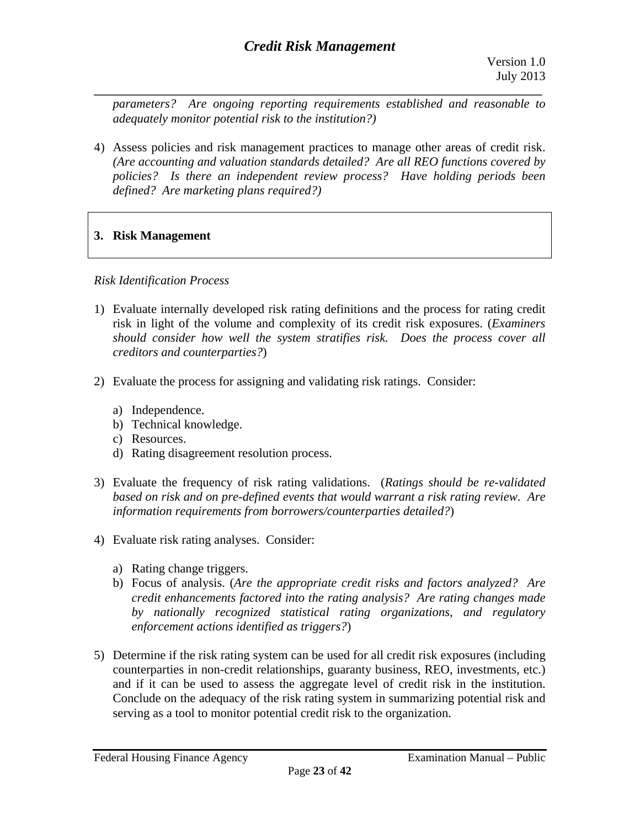*adequately monitor potential risk to the institution?) parameters? Are ongoing reporting requirements established and reasonable to* 

4) Assess policies and risk management practices to manage other areas of credit risk. *(Are accounting and valuation standards detailed? Are all REO functions covered by policies? Is there an independent review process? Have holding periods been defined? Are marketing plans required?)* 

# **3. Risk Management**

## *Risk Identification Process*

- 1) Evaluate internally developed risk rating definitions and the process for rating credit risk in light of the volume and complexity of its credit risk exposures. (*Examiners should consider how well the system stratifies risk. Does the process cover all creditors and counterparties?*)
- 2) Evaluate the process for assigning and validating risk ratings. Consider:
	- a) Independence.
	- b) Technical knowledge.
	- c) Resources.
	- d) Rating disagreement resolution process.
- 3) Evaluate the frequency of risk rating validations. (*Ratings should be re-validated based on risk and on pre-defined events that would warrant a risk rating review*. *Are information requirements from borrowers/counterparties detailed?*)
- 4) Evaluate risk rating analyses. Consider:
	- a) Rating change triggers.
	- b)Focus of analysis. (*Are the appropriate credit risks and factors analyzed? Are credit enhancements factored into the rating analysis? Are rating changes made by nationally recognized statistical rating organizations, and regulatory enforcement actions identified as triggers?*)
- and if it can be used to assess the aggregate level of credit risk in the institution. 5) Determine if the risk rating system can be used for all credit risk exposures (including counterparties in non-credit relationships, guaranty business, REO, investments, etc.) Conclude on the adequacy of the risk rating system in summarizing potential risk and serving as a tool to monitor potential credit risk to the organization.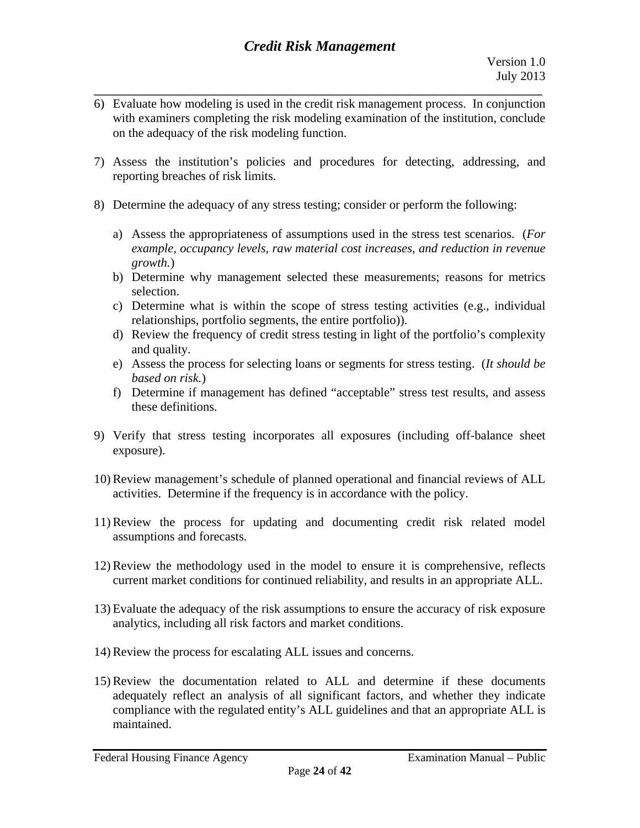6)Evaluate how modeling is used in the credit risk management process. In conjunction with examiners completing the risk modeling examination of the institution, conclude on the adequacy of the risk modeling function.

**\_\_\_\_\_\_\_\_\_\_\_\_\_\_\_\_\_\_\_\_\_\_\_\_\_\_\_\_\_\_\_\_\_\_\_\_\_\_\_\_\_\_\_\_\_\_\_\_\_\_\_\_\_\_\_\_\_\_\_\_\_\_\_\_\_\_\_\_\_\_\_\_\_\_\_\_\_\_** 

- 7)Assess the institution's policies and procedures for detecting, addressing, and reporting breaches of risk limits.
- 8) Determine the adequacy of any stress testing; consider or perform the following:
	- a)Assess the appropriateness of assumptions used in the stress test scenarios. (*For example, occupancy levels, raw material cost increases, and reduction in revenue growth.*)
	- b) Determine why management selected these measurements; reasons for metrics selection.
	- c) Determine what is within the scope of stress testing activities (e.g., individual relationships, portfolio segments, the entire portfolio)).
	- d) Review the frequency of credit stress testing in light of the portfolio's complexity and quality.
	- e) Assess the process for selecting loans or segments for stress testing. (*It should be based on risk.*)
	- f) Determine if management has defined "acceptable" stress test results, and assess these definitions.
- 9)Verify that stress testing incorporates all exposures (including off-balance sheet exposure).
- 10) Review management's schedule of planned operational and financial reviews of ALL activities. Determine if the frequency is in accordance with the policy.
- 11) Review the process for updating and documenting credit risk related model assumptions and forecasts.
- 12) Review the methodology used in the model to ensure it is comprehensive, reflects current market conditions for continued reliability, and results in an appropriate ALL.
- 13) Evaluate the adequacy of the risk assumptions to ensure the accuracy of risk exposure analytics, including all risk factors and market conditions.
- 14) Review the process for escalating ALL issues and concerns.
- 15) Review the documentation related to ALL and determine if these documents adequately reflect an analysis of all significant factors, and whether they indicate compliance with the regulated entity's ALL guidelines and that an appropriate ALL is maintained.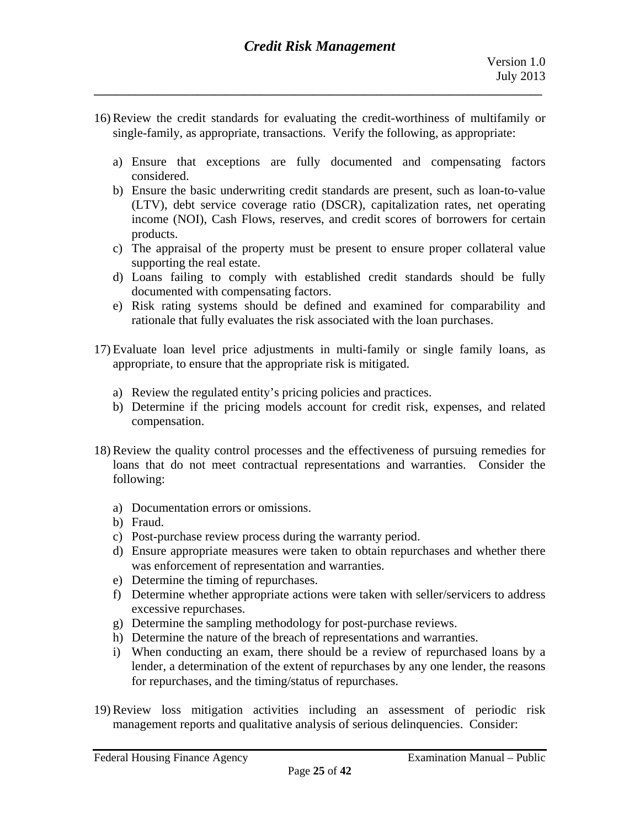16) Review the credit standards for evaluating the credit-worthiness of multifamily or single-family, as appropriate, transactions. Verify the following, as appropriate:

**\_\_\_\_\_\_\_\_\_\_\_\_\_\_\_\_\_\_\_\_\_\_\_\_\_\_\_\_\_\_\_\_\_\_\_\_\_\_\_\_\_\_\_\_\_\_\_\_\_\_\_\_\_\_\_\_\_\_\_\_\_\_\_\_\_\_\_\_\_\_\_\_\_\_\_\_\_\_** 

- a) Ensure that exceptions are fully documented and compensating factors considered.
- b) Ensure the basic underwriting credit standards are present, such as loan-to-value (LTV), debt service coverage ratio (DSCR), capitalization rates, net operating income (NOI), Cash Flows, reserves, and credit scores of borrowers for certain products.
- c) The appraisal of the property must be present to ensure proper collateral value supporting the real estate.
- d) Loans failing to comply with established credit standards should be fully documented with compensating factors.
- e) Risk rating systems should be defined and examined for comparability and rationale that fully evaluates the risk associated with the loan purchases.
- 17) Evaluate loan level price adjustments in multi-family or single family loans, as appropriate, to ensure that the appropriate risk is mitigated.
	- a) Review the regulated entity's pricing policies and practices.
	- b) Determine if the pricing models account for credit risk, expenses, and related compensation.
- 18) Review the quality control processes and the effectiveness of pursuing remedies for loans that do not meet contractual representations and warranties. Consider the following:
	- a) Documentation errors or omissions.
	- b) Fraud.
	- c) Post-purchase review process during the warranty period.
	- d) Ensure appropriate measures were taken to obtain repurchases and whether there was enforcement of representation and warranties.
	- e) Determine the timing of repurchases.
	- f) Determine whether appropriate actions were taken with seller/servicers to address excessive repurchases.
	- g) Determine the sampling methodology for post-purchase reviews.
	- h) Determine the nature of the breach of representations and warranties.
	- i) When conducting an exam, there should be a review of repurchased loans by a lender, a determination of the extent of repurchases by any one lender, the reasons for repurchases, and the timing/status of repurchases.
- 19) Review loss mitigation activities including an assessment of periodic risk management reports and qualitative analysis of serious delinquencies. Consider: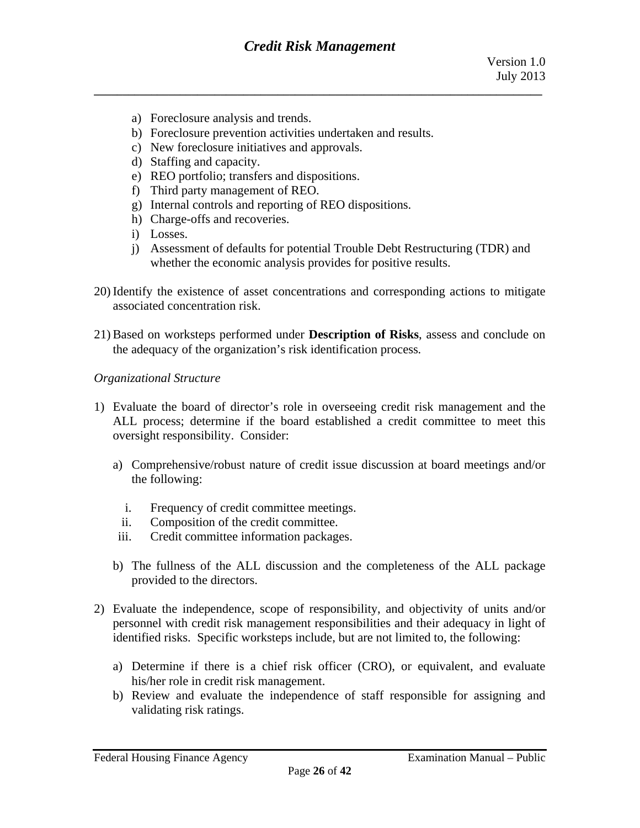- a) Foreclosure analysis and trends.
- b) Foreclosure prevention activities undertaken and results.
- c) New foreclosure initiatives and approvals.
- d) Staffing and capacity.
- e) REO portfolio; transfers and dispositions.
- f) Third party management of REO.
- g) Internal controls and reporting of REO dispositions.
- h) Charge-offs and recoveries.
- i) Losses.
- i) Assessment of defaults for potential Trouble Debt Restructuring (TDR) and whether the economic analysis provides for positive results.
- 20) Identify the existence of asset concentrations and corresponding actions to mitigate associated concentration risk.
- 21) Based on worksteps performed under **Description of Risks**, assess and conclude on the adequacy of the organization's risk identification process*.*

#### *Organizational Structure*

- 1)Evaluate the board of director's role in overseeing credit risk management and the ALL process; determine if the board established a credit committee to meet this oversight responsibility. Consider:
	- a)Comprehensive/robust nature of credit issue discussion at board meetings and/or the following:
		- i. Frequency of credit committee meetings.
		- ii. Composition of the credit committee.
	- iii. Credit committee information packages.
	- b) The fullness of the ALL discussion and the completeness of the ALL package provided to the directors.
- 2) Evaluate the independence, scope of responsibility, and objectivity of units and/or personnel with credit risk management responsibilities and their adequacy in light of identified risks. Specific worksteps include, but are not limited to, the following:
	- a) Determine if there is a chief risk officer (CRO), or equivalent, and evaluate his/her role in credit risk management.
	- b) Review and evaluate the independence of staff responsible for assigning and validating risk ratings.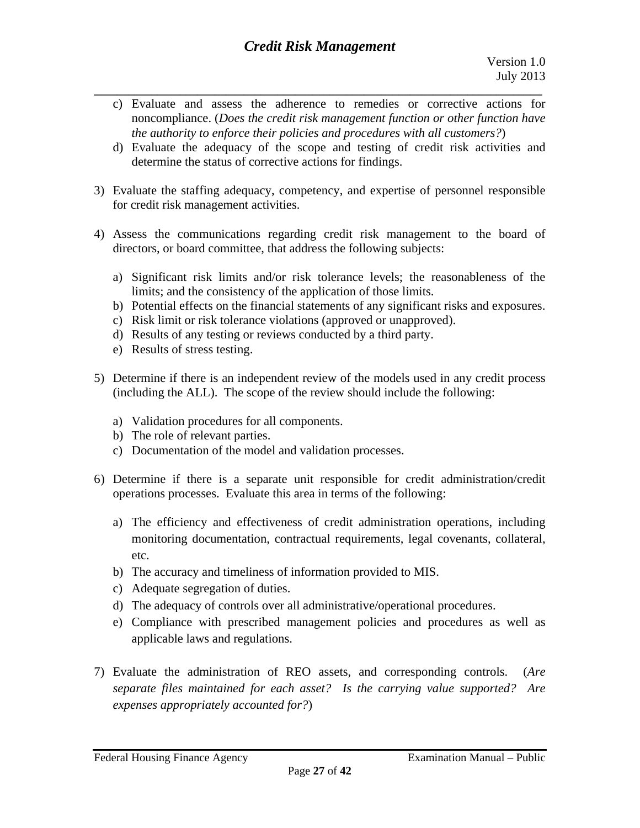- **\_\_\_\_\_\_\_\_\_\_\_\_\_\_\_\_\_\_\_\_\_\_\_\_\_\_\_\_\_\_\_\_\_\_\_\_\_\_\_\_\_\_\_\_\_\_\_\_\_\_\_\_\_\_\_\_\_\_\_\_\_\_\_\_\_\_\_\_\_\_\_\_\_\_\_\_\_\_**  c)Evaluate and assess the adherence to remedies or corrective actions for noncompliance. (*Does the credit risk management function or other function have the authority to enforce their policies and procedures with all customers?*)
	- d)Evaluate the adequacy of the scope and testing of credit risk activities and determine the status of corrective actions for findings.
- 3) Evaluate the staffing adequacy, competency, and expertise of personnel responsible for credit risk management activities.
- 4)Assess the communications regarding credit risk management to the board of directors, or board committee, that address the following subjects:
	- a) Significant risk limits and/or risk tolerance levels; the reasonableness of the limits; and the consistency of the application of those limits.
	- b) Potential effects on the financial statements of any significant risks and exposures.
	- c) Risk limit or risk tolerance violations (approved or unapproved).
	- d) Results of any testing or reviews conducted by a third party.
	- e) Results of stress testing.
- 5) Determine if there is an independent review of the models used in any credit process (including the ALL). The scope of the review should include the following:
	- a) Validation procedures for all components.b) The role of relevant parties.
	-
	- c) Documentation of the model and validation processes.
- 6) Determine if there is a separate unit responsible for credit administration/credit operations processes. Evaluate this area in terms of the following:
	- a)The efficiency and effectiveness of credit administration operations, including monitoring documentation, contractual requirements, legal covenants, collateral, etc.
	- b) The accuracy and timeliness of information provided to MIS.
	- c) Adequate segregation of duties.
	- d) The adequacy of controls over all administrative/operational procedures.
	- e) Compliance with prescribed management policies and procedures as well as applicable laws and regulations.
- 7)Evaluate the administration of REO assets, and corresponding controls. (*Are separate files maintained for each asset? Is the carrying value supported? Are expenses appropriately accounted for?*)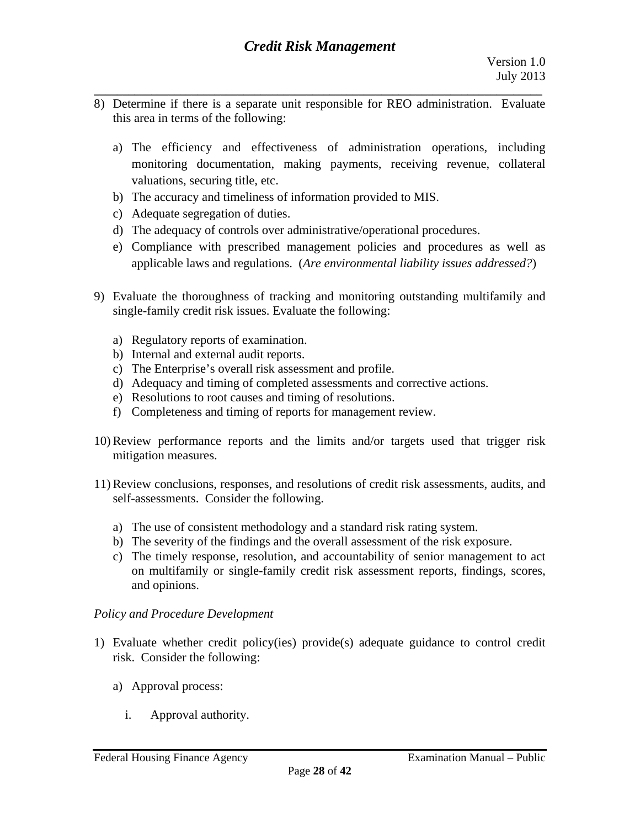- **\_\_\_\_\_\_\_\_\_\_\_\_\_\_\_\_\_\_\_\_\_\_\_\_\_\_\_\_\_\_\_\_\_\_\_\_\_\_\_\_\_\_\_\_\_\_\_\_\_\_\_\_\_\_\_\_\_\_\_\_\_\_\_\_\_\_\_\_\_\_\_\_\_\_\_\_\_\_**  8) Determine if there is a separate unit responsible for REO administration. Evaluate this area in terms of the following:
	- a)The efficiency and effectiveness of administration operations, including monitoring documentation, making payments, receiving revenue, collateral valuations, securing title, etc.
	- b) The accuracy and timeliness of information provided to MIS.
	- c) Adequate segregation of duties.
	- d) The adequacy of controls over administrative/operational procedures.
	- e) Compliance with prescribed management policies and procedures as well as applicable laws and regulations. (*Are environmental liability issues addressed?*)
- 9)Evaluate the thoroughness of tracking and monitoring outstanding multifamily and single-family credit risk issues. Evaluate the following:
	- a) Regulatory reports of examination.
	- b) Internal and external audit reports.
	- c) The Enterprise's overall risk assessment and profile.
	- d) Adequacy and timing of completed assessments and corrective actions.
	- e) Resolutions to root causes and timing of resolutions.
	- f) Completeness and timing of reports for management review.
- 10) Review performance reports and the limits and/or targets used that trigger risk mitigation measures.
- 11) Review conclusions, responses, and resolutions of credit risk assessments, audits, and self-assessments. Consider the following.
	- a) The use of consistent methodology and a standard risk rating system.
	- b) The severity of the findings and the overall assessment of the risk exposure.
	- c) The timely response, resolution, and accountability of senior management to act on multifamily or single-family credit risk assessment reports, findings, scores, and opinions.

## *Policy and Procedure Development*

- 1)Evaluate whether credit policy(ies) provide(s) adequate guidance to control credit risk. Consider the following:
	- a) Approval process:
		- i. Approval authority.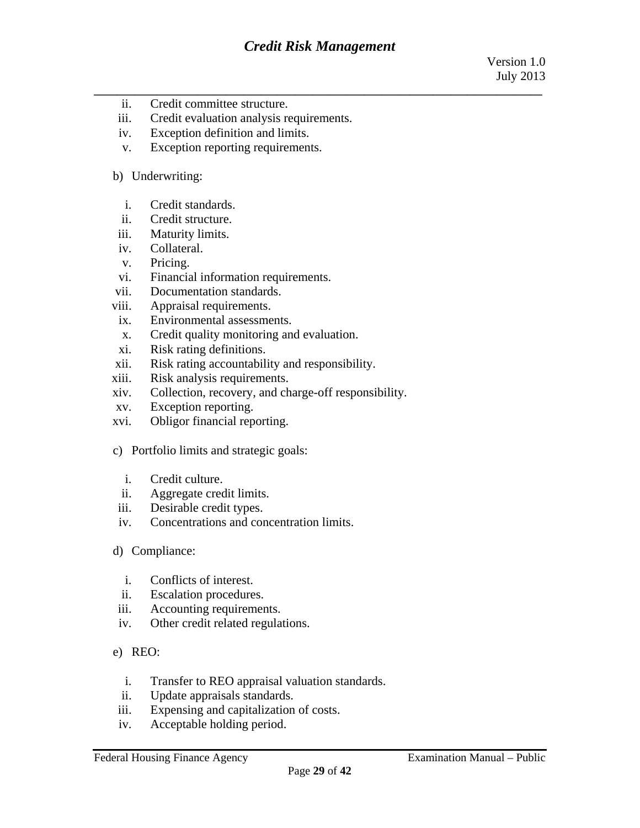- ii. Credit committee structure.
- iii. Credit evaluation analysis requirements.
- iv. Exception definition and limits.
- v. Exception reporting requirements.

#### b) Underwriting:

- i. Credit standards.
- ii. Credit structure.
- iii. Maturity limits.
- iv. Collateral.
- v. Pricing.
- vi. Financial information requirements.
- vii. Documentation standards.
- viii. Appraisal requirements.
- ix. Environmental assessments.
- x. Credit quality monitoring and evaluation.
- xi. Risk rating definitions.
- xii. Risk rating accountability and responsibility.
- xiii. Risk analysis requirements.
- xiv. Collection, recovery, and charge-off responsibility.
- xv. Exception reporting.
- xvi. Obligor financial reporting.
- c) Portfolio limits and strategic goals:
	- i. Credit culture.
	- ii. Aggregate credit limits.
- iii. Desirable credit types.
- iv. Concentrations and concentration limits.
- d) Compliance:
	- i. Conflicts of interest.
	- ii. Escalation procedures.
- iii. Accounting requirements.
- iv. Other credit related regulations.
- e) REO:
	- i. Transfer to REO appraisal valuation standards.
	- ii. Update appraisals standards.
- iii. Expensing and capitalization of costs.
- iv. Acceptable holding period.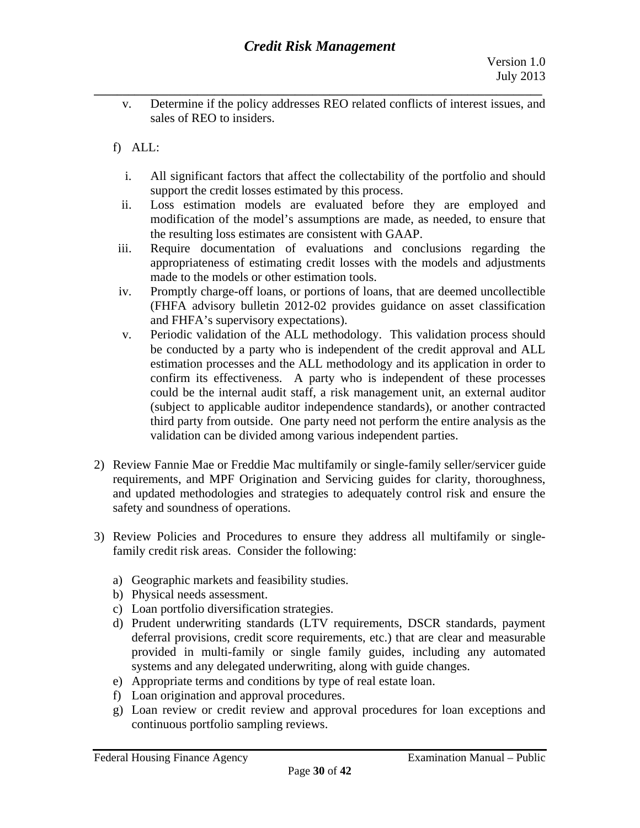- $V<sub>1</sub>$ Determine if the policy addresses REO related conflicts of interest issues, and sales of REO to insiders.
- f)ALL:
	- $\mathbf{i}$ . All significant factors that affect the collectability of the portfolio and should support the credit losses estimated by this process.
	- ii. Loss estimation models are evaluated before they are employed and modification of the model's assumptions are made, as needed, to ensure that the resulting loss estimates are consistent with GAAP.
- iii. Require documentation of evaluations and conclusions regarding the appropriateness of estimating credit losses with the models and adjustments made to the models or other estimation tools.
- iv. Promptly charge-off loans, or portions of loans, that are deemed uncollectible (FHFA advisory bulletin 2012-02 provides guidance on asset classification and FHFA's supervisory expectations).
- $V_{\star}$ Periodic validation of the ALL methodology. This validation process should be conducted by a party who is independent of the credit approval and ALL estimation processes and the ALL methodology and its application in order to confirm its effectiveness. A party who is independent of these processes could be the internal audit staff, a risk management unit, an external auditor (subject to applicable auditor independence standards), or another contracted third party from outside. One party need not perform the entire analysis as the validation can be divided among various independent parties.
- 2) Review Fannie Mae or Freddie Mac multifamily or single-family seller/servicer guide requirements, and MPF Origination and Servicing guides for clarity, thoroughness, and updated methodologies and strategies to adequately control risk and ensure the safety and soundness of operations.
- 3) Review Policies and Procedures to ensure they address all multifamily or singlefamily credit risk areas. Consider the following:
	- a) Geographic markets and feasibility studies.
	- b) Physical needs assessment.
	- c) Loan portfolio diversification strategies.
	- d) Prudent underwriting standards (LTV requirements, DSCR standards, payment deferral provisions, credit score requirements, etc.) that are clear and measurable provided in multi-family or single family guides, including any automated systems and any delegated underwriting, along with guide changes.
	- e) Appropriate terms and conditions by type of real estate loan.
	- f) Loan origination and approval procedures.
	- g) Loan review or credit review and approval procedures for loan exceptions and continuous portfolio sampling reviews.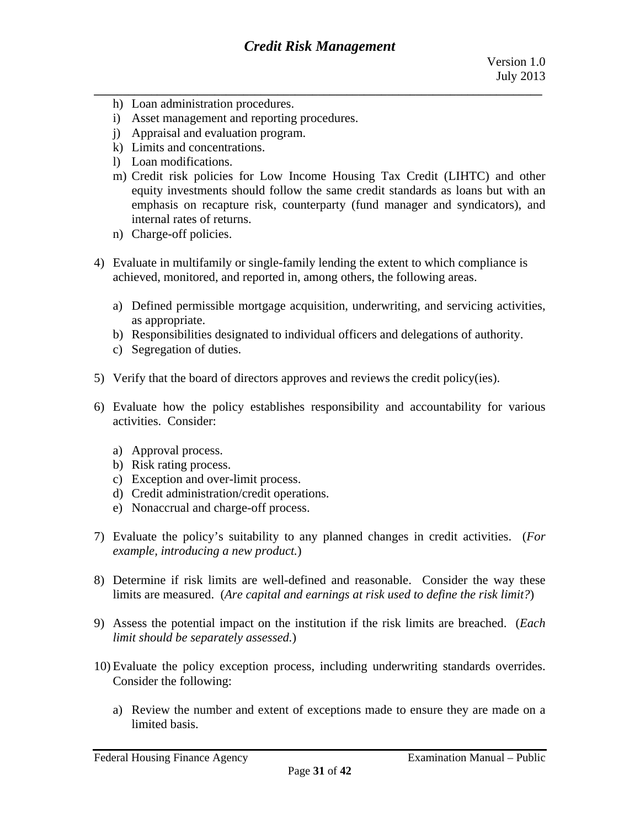- h) Loan administration procedures.
- i) Asset management and reporting procedures.
- j) Appraisal and evaluation program.
- k) Limits and concentrations.
- l) Loan modifications.
- m) Credit risk policies for Low Income Housing Tax Credit (LIHTC) and other equity investments should follow the same credit standards as loans but with an emphasis on recapture risk, counterparty (fund manager and syndicators), and internal rates of returns.
- n) Charge-off policies.
- 4) Evaluate in multifamily or single-family lending the extent to which compliance is achieved, monitored, and reported in, among others, the following areas.
	- a) Defined permissible mortgage acquisition, underwriting, and servicing activities, as appropriate.
	- b) Responsibilities designated to individual officers and delegations of authority.
	- c) Segregation of duties.
- 5) Verify that the board of directors approves and reviews the credit policy(ies).
- 6)Evaluate how the policy establishes responsibility and accountability for various activities. Consider:
	- a) Approval process.
	- b) Risk rating process.
	- c) Exception and over-limit process.
	- d) Credit administration/credit operations.
	- e) Nonaccrual and charge-off process.
- 7)Evaluate the policy's suitability to any planned changes in credit activities. (*For example, introducing a new product.*)
- 8) Determine if risk limits are well-defined and reasonable. Consider the way these limits are measured. (*Are capital and earnings at risk used to define the risk limit?*)
- 9) Assess the potential impact on the institution if the risk limits are breached. (*Each limit should be separately assessed.*)
- 10) Evaluate the policy exception process, including underwriting standards overrides. Consider the following:
	- a) Review the number and extent of exceptions made to ensure they are made on a limited basis.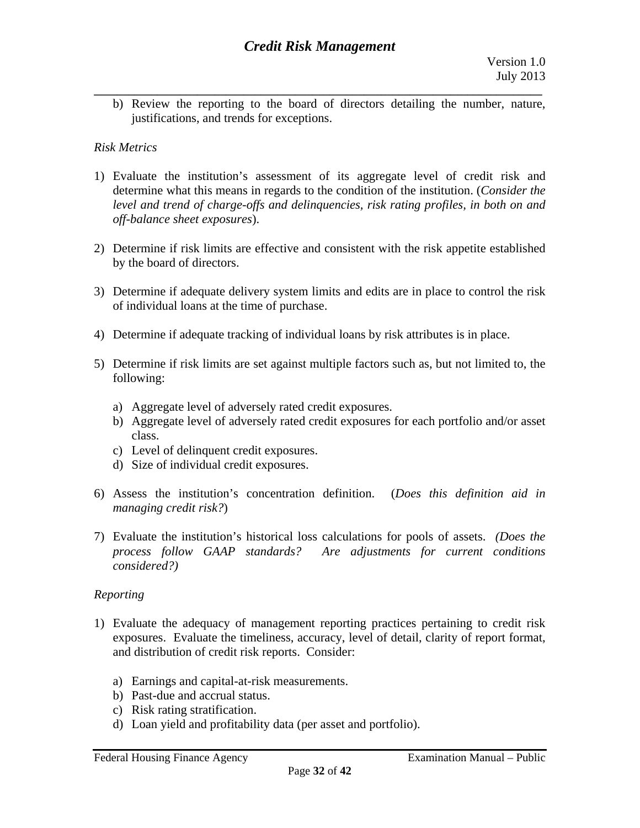**\_\_\_\_\_\_\_\_\_\_\_\_\_\_\_\_\_\_\_\_\_\_\_\_\_\_\_\_\_\_\_\_\_\_\_\_\_\_\_\_\_\_\_\_\_\_\_\_\_\_\_\_\_\_\_\_\_\_\_\_\_\_\_\_\_\_\_\_\_\_\_\_\_\_\_\_\_\_**  b) Review the reporting to the board of directors detailing the number, nature, justifications, and trends for exceptions.

## *Risk Metrics*

- 1)Evaluate the institution's assessment of its aggregate level of credit risk and determine what this means in regards to the condition of the institution. (*Consider the level and trend of charge-offs and delinquencies, risk rating profiles, in both on and off-balance sheet exposures*).
- 2) Determine if risk limits are effective and consistent with the risk appetite established by the board of directors.
- 3) Determine if adequate delivery system limits and edits are in place to control the risk of individual loans at the time of purchase.
- 4) Determine if adequate tracking of individual loans by risk attributes is in place.
- 5) Determine if risk limits are set against multiple factors such as, but not limited to, the following:
	- a) Aggregate level of adversely rated credit exposures.
	- class. b) Aggregate level of adversely rated credit exposures for each portfolio and/or asset
	- c) Level of delinquent credit exposures.
	- d) Size of individual credit exposures.
- 6)Assess the institution's concentration definition. (*Does this definition aid in managing credit risk?*)
- 7)Evaluate the institution's historical loss calculations for pools of assets. *(Does the process follow GAAP standards? Are adjustments for current conditions considered?)*

## *Reporting*

- 1)Evaluate the adequacy of management reporting practices pertaining to credit risk exposures. Evaluate the timeliness, accuracy, level of detail, clarity of report format, and distribution of credit risk reports. Consider:
	- a) Earnings and capital-at-risk measurements.
	- b) Past-due and accrual status.<br>c) Risk rating stratification.
	-
- d) Loan yield and profitability data (per asset and portfolio).<br>Federal Housing Finance Agency Examination Manual Public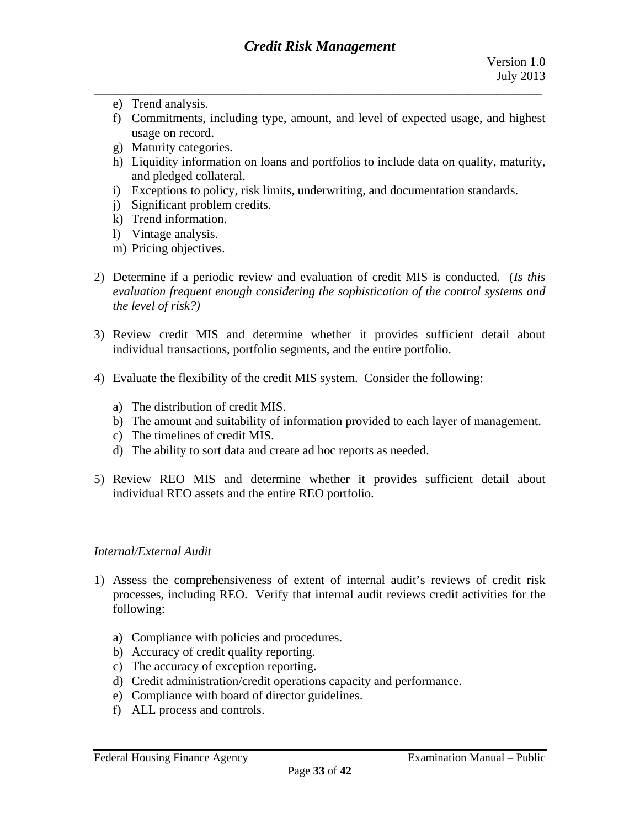- e) Trend analysis.
- f) Commitments, including type, amount, and level of expected usage, and highest usage on record.
- g) Maturity categories.
- h) Liquidity information on loans and portfolios to include data on quality, maturity, and pledged collateral.
- i) Exceptions to policy, risk limits, underwriting, and documentation standards.
- j) Significant problem credits.
- k) Trend information.
- l) Vintage analysis.
- m) Pricing objectives.
- 2) Determine if a periodic review and evaluation of credit MIS is conducted. (*Is this evaluation frequent enough considering the sophistication of the control systems and the level of risk?)*
- 3)Review credit MIS and determine whether it provides sufficient detail about individual transactions, portfolio segments, and the entire portfolio.
- 4) Evaluate the flexibility of the credit MIS system. Consider the following:
	- a) The distribution of credit MIS.
	- b) The amount and suitability of information provided to each layer of management.
	- c) The timelines of credit MIS.
	- d) The ability to sort data and create ad hoc reports as needed.
- d) The ability to sort data and create ad hoc reports as needed.<br>5) Review REO MIS and determine whether it provides sufficient detail about individual REO assets and the entire REO portfolio.

## *Internal/External Audit*

- 1)Assess the comprehensiveness of extent of internal audit's reviews of credit risk processes, including REO. Verify that internal audit reviews credit activities for the following:
	- a) Compliance with policies and procedures.
	- b) Accuracy of credit quality reporting.
	- c) The accuracy of exception reporting.
	- d) Credit administration/credit operations capacity and performance.<br>e) Compliance with board of director guidelines.
	-
	- f) ALL process and controls.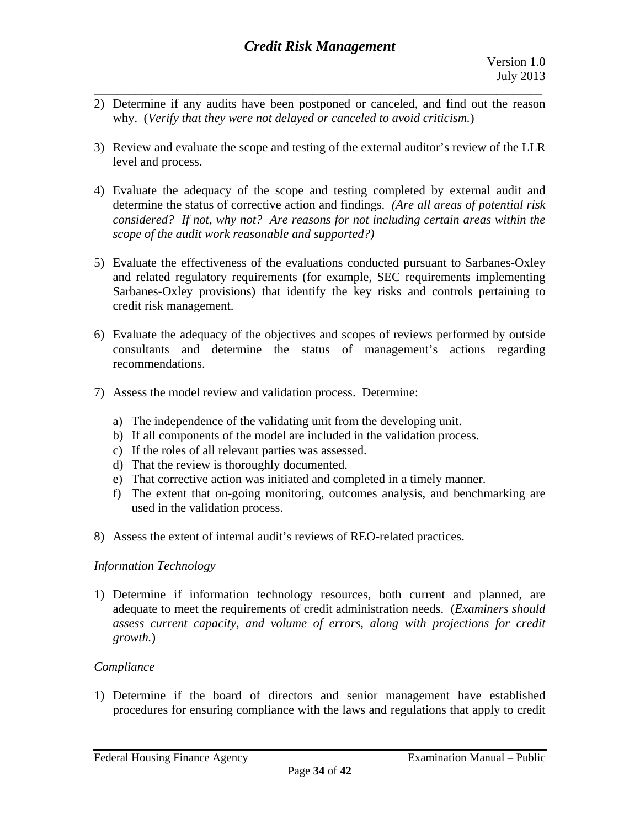- **\_\_\_\_\_\_\_\_\_\_\_\_\_\_\_\_\_\_\_\_\_\_\_\_\_\_\_\_\_\_\_\_\_\_\_\_\_\_\_\_\_\_\_\_\_\_\_\_\_\_\_\_\_\_\_\_\_\_\_\_\_\_\_\_\_\_\_\_\_\_\_\_\_\_\_\_\_\_**  2) Determine if any audits have been postponed or canceled, and find out the reason why. (*Verify that they were not delayed or canceled to avoid criticism.*)
- 3) Review and evaluate the scope and testing of the external auditor's review of the LLR level and process.
- 4)Evaluate the adequacy of the scope and testing completed by external audit and determine the status of corrective action and findings. *(Are all areas of potential risk considered? If not, why not? Are reasons for not including certain areas within the scope of the audit work reasonable and supported?)*
- 5)Evaluate the effectiveness of the evaluations conducted pursuant to Sarbanes-Oxley and related regulatory requirements (for example, SEC requirements implementing Sarbanes-Oxley provisions) that identify the key risks and controls pertaining to credit risk management.
- 6) Evaluate the adequacy of the objectives and scopes of reviews performed by outside consultants and determine the status of management's actions regarding recommendations.
- 7)Assess the model review and validation process. Determine:
	- a) The independence of the validating unit from the developing unit.
	- b) If all components of the model are included in the validation process.
	- c) If the roles of all relevant parties was assessed.
	- d) That the review is thoroughly documented.
	- e) That corrective action was initiated and completed in a timely manner.
	- f) The extent that on-going monitoring, outcomes analysis, and benchmarking are used in the validation process.
- 8)Assess the extent of internal audit's reviews of REO-related practices.

## *Information Technology*

1) Determine if information technology resources, both current and planned, are adequate to meet the requirements of credit administration needs. (*Examiners should assess current capacity, and volume of errors, along with projections for credit growth.*)

## *Compliance*

1) Determine if the board of directors and senior management have established procedures for ensuring compliance with the laws and regulations that apply to credit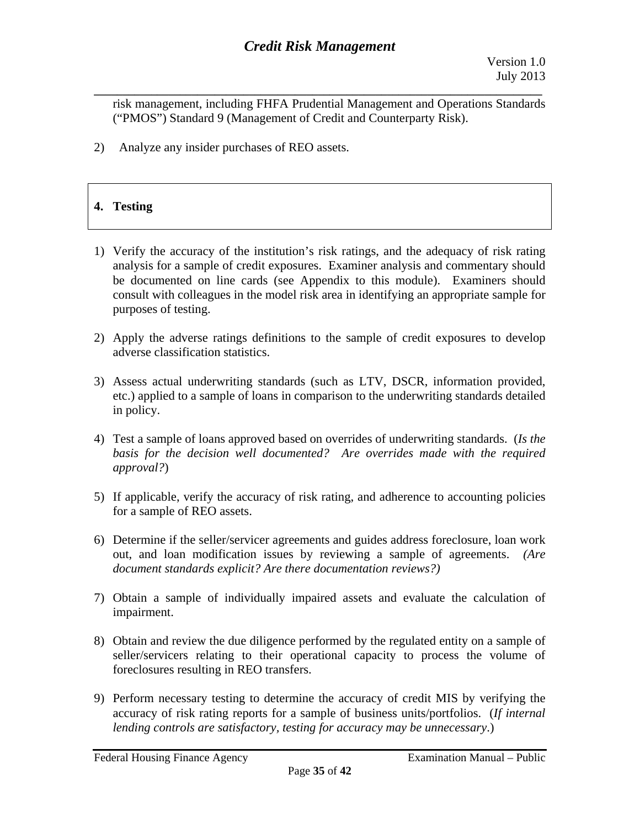**\_\_\_\_\_\_\_\_\_\_\_\_\_\_\_\_\_\_\_\_\_\_\_\_\_\_\_\_\_\_\_\_\_\_\_\_\_\_\_\_\_\_\_\_\_\_\_\_\_\_\_\_\_\_\_\_\_\_\_\_\_\_\_\_\_\_\_\_\_\_\_\_\_\_\_\_\_\_**  risk management, including FHFA Prudential Management and Operations Standards ("PMOS") Standard 9 (Management of Credit and Counterparty Risk).

2) Analyze any insider purchases of REO assets.

# **4. Testing**

- 1) Verify the accuracy of the institution's risk ratings, and the adequacy of risk rating analysis for a sample of credit exposures. Examiner analysis and commentary should be documented on line cards (see Appendix to this module). Examiners should consult with colleagues in the model risk area in identifying an appropriate sample for purposes of testing.
- 2) Apply the adverse ratings definitions to the sample of credit exposures to develop adverse classification statistics.
- 3) Assess actual underwriting standards (such as LTV, DSCR, information provided, etc.) applied to a sample of loans in comparison to the underwriting standards detailed in policy.
- 4)Test a sample of loans approved based on overrides of underwriting standards. (*Is the basis for the decision well documented? Are overrides made with the required approval?*)
- 5) If applicable, verify the accuracy of risk rating, and adherence to accounting policies for a sample of REO assets.
- 6) Determine if the seller/servicer agreements and guides address foreclosure, loan work out, and loan modification issues by reviewing a sample of agreements. *(Are document standards explicit? Are there documentation reviews?)*
- 7) Obtain a sample of individually impaired assets and evaluate the calculation of impairment.
- 8) Obtain and review the due diligence performed by the regulated entity on a sample of seller/servicers relating to their operational capacity to process the volume of foreclosures resulting in REO transfers.
- 9) Perform necessary testing to determine the accuracy of credit MIS by verifying the accuracy of risk rating reports for a sample of business units/portfolios. (*If internal lending controls are satisfactory, testing for accuracy may be unnecessary*.)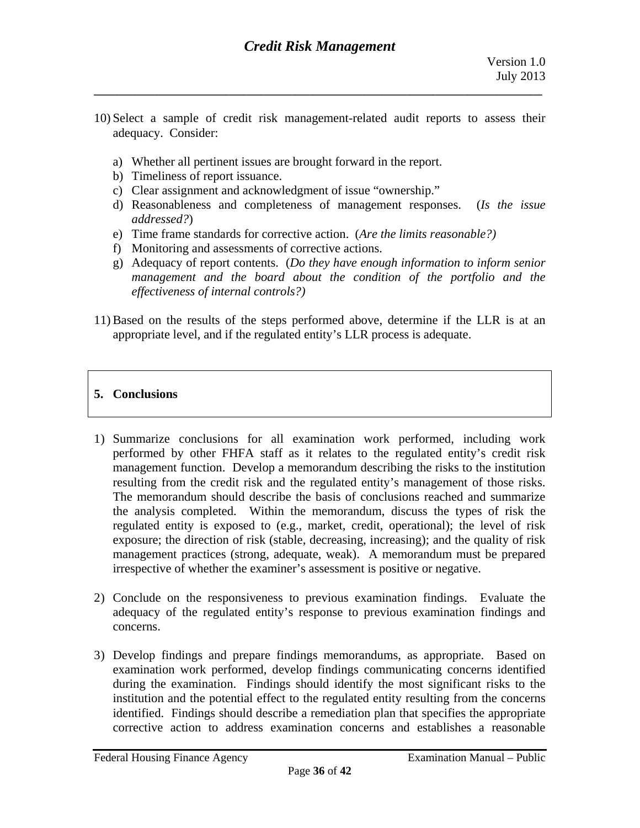10) Select a sample of credit risk management-related audit reports to assess their adequacy. Consider:

**\_\_\_\_\_\_\_\_\_\_\_\_\_\_\_\_\_\_\_\_\_\_\_\_\_\_\_\_\_\_\_\_\_\_\_\_\_\_\_\_\_\_\_\_\_\_\_\_\_\_\_\_\_\_\_\_\_\_\_\_\_\_\_\_\_\_\_\_\_\_\_\_\_\_\_\_\_\_** 

- a) Whether all pertinent issues are brought forward in the report.
- b) Timeliness of report issuance.
- c) Clear assignment and acknowledgment of issue "ownership."
- d) Reasonableness and completeness of management responses. (*Is the issue addressed?*)
- e) Time frame standards for corrective action. (*Are the limits reasonable?)*
- f) Monitoring and assessments of corrective actions.
- g) Adequacy of report contents. (*Do they have enough information to inform senior management and the board about the condition of the portfolio and the effectiveness of internal controls?)*
- 11) Based on the results of the steps performed above, determine if the LLR is at an appropriate level, and if the regulated entity's LLR process is adequate.

## **5. Conclusions**

- 1) Summarize conclusions for all examination work performed, including work performed by other FHFA staff as it relates to the regulated entity's credit risk management function. Develop a memorandum describing the risks to the institution resulting from the credit risk and the regulated entity's management of those risks. The memorandum should describe the basis of conclusions reached and summarize the analysis completed. Within the memorandum, discuss the types of risk the regulated entity is exposed to (e.g., market, credit, operational); the level of risk exposure; the direction of risk (stable, decreasing, increasing); and the quality of risk management practices (strong, adequate, weak). A memorandum must be prepared irrespective of whether the examiner's assessment is positive or negative.
- 2) Conclude on the responsiveness to previous examination findings. Evaluate the adequacy of the regulated entity's response to previous examination findings and concerns.
- 3) Develop findings and prepare findings memorandums, as appropriate. Based on examination work performed, develop findings communicating concerns identified during the examination. Findings should identify the most significant risks to the institution and the potential effect to the regulated entity resulting from the concerns identified. Findings should describe a remediation plan that specifies the appropriate corrective action to address examination concerns and establishes a reasonable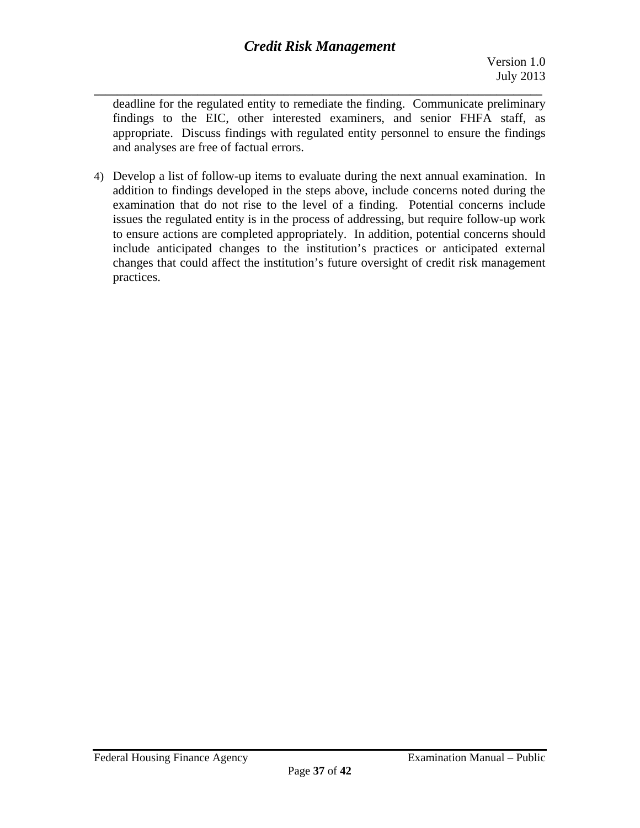**\_\_\_\_\_\_\_\_\_\_\_\_\_\_\_\_\_\_\_\_\_\_\_\_\_\_\_\_\_\_\_\_\_\_\_\_\_\_\_\_\_\_\_\_\_\_\_\_\_\_\_\_\_\_\_\_\_\_\_\_\_\_\_\_\_\_\_\_\_\_\_\_\_\_\_\_\_\_**  deadline for the regulated entity to remediate the finding. Communicate preliminary findings to the EIC, other interested examiners, and senior FHFA staff, as appropriate. Discuss findings with regulated entity personnel to ensure the findings and analyses are free of factual errors.

4) Develop a list of follow-up items to evaluate during the next annual examination. In addition to findings developed in the steps above, include concerns noted during the examination that do not rise to the level of a finding. Potential concerns include issues the regulated entity is in the process of addressing, but require follow-up work to ensure actions are completed appropriately. In addition, potential concerns should include anticipated changes to the institution's practices or anticipated external changes that could affect the institution's future oversight of credit risk management practices.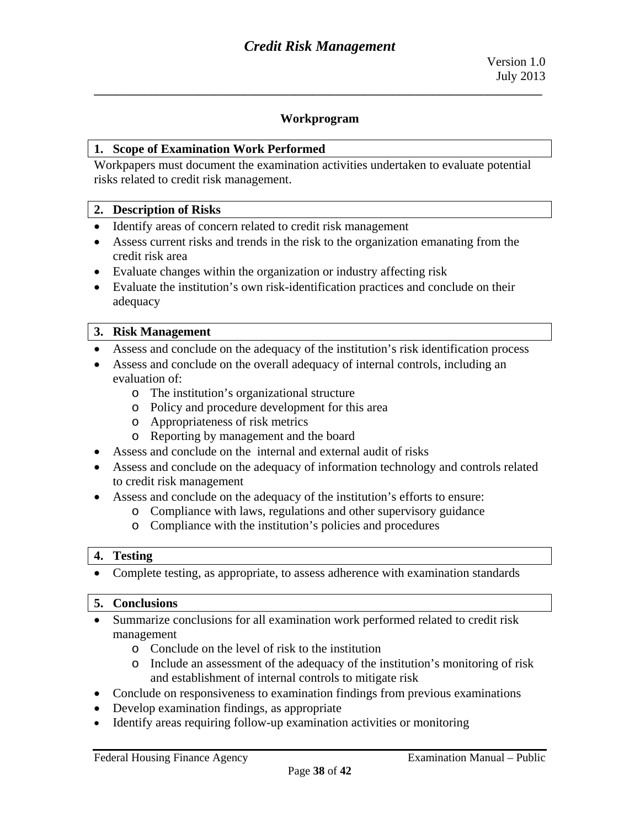#### **Workprogram**

**\_\_\_\_\_\_\_\_\_\_\_\_\_\_\_\_\_\_\_\_\_\_\_\_\_\_\_\_\_\_\_\_\_\_\_\_\_\_\_\_\_\_\_\_\_\_\_\_\_\_\_\_\_\_\_\_\_\_\_\_\_\_\_\_\_\_\_\_\_\_\_\_\_\_\_\_\_\_** 

#### **1. Scope of Examination Work Performed**

Workpapers must document the examination activities undertaken to evaluate potential risks related to credit risk management.

#### **2. Description of Risks**

- Identify areas of concern related to credit risk management
- Assess current risks and trends in the risk to the organization emanating from the credit risk area
- Evaluate changes within the organization or industry affecting risk
- Evaluate the institution's own risk-identification practices and conclude on their adequacy

#### **3. Risk Management**

- Assess and conclude on the adequacy of the institution's risk identification process
- Assess and conclude on the overall adequacy of internal controls, including an evaluation of:
	- oThe institution's organizational structure
	- o Policy and procedure development for this area
	- oAppropriateness of risk metrics
	- o Reporting by management and the board
- Assess and conclude on the internal and external audit of risks
- Assess and conclude on the adequacy of information technology and controls related to credit risk management
- Assess and conclude on the adequacy of the institution's efforts to ensure:
	- oCompliance with laws, regulations and other supervisory guidance
		- oCompliance with the institution's policies and procedures

#### **4. Testing**

• Complete testing, as appropriate, to assess adherence with examination standards

#### **5. Conclusions**

- Summarize conclusions for all examination work performed related to credit risk management
	- oConclude on the level of risk to the institution
	- o Include an assessment of the adequacy of the institution's monitoring of risk and establishment of internal controls to mitigate risk
- Conclude on responsiveness to examination findings from previous examinations
- Develop examination findings, as appropriate
- Identify areas requiring follow-up examination activities or monitoring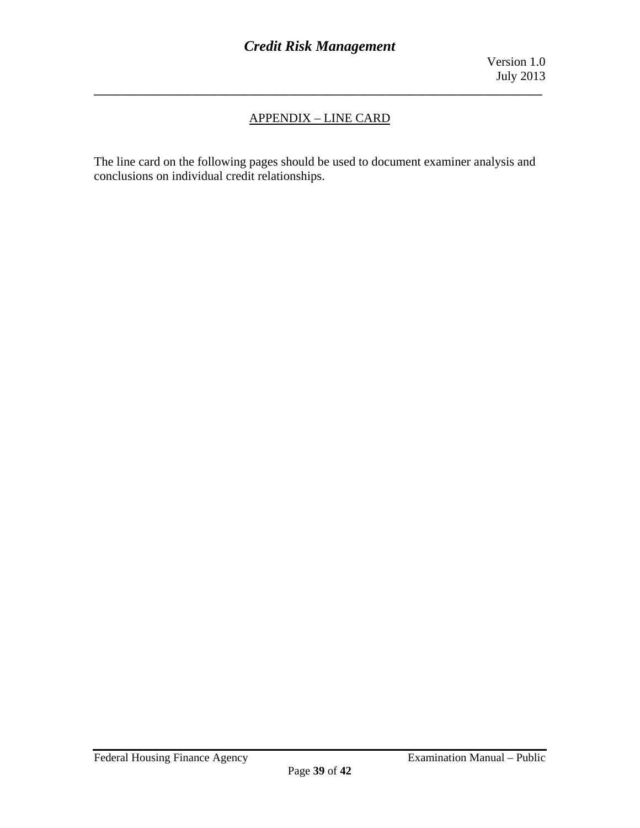## APPENDIX – LINE CARD

**\_\_\_\_\_\_\_\_\_\_\_\_\_\_\_\_\_\_\_\_\_\_\_\_\_\_\_\_\_\_\_\_\_\_\_\_\_\_\_\_\_\_\_\_\_\_\_\_\_\_\_\_\_\_\_\_\_\_\_\_\_\_\_\_\_\_\_\_\_\_\_\_\_\_\_\_\_\_** 

The line card on the following pages should be used to document examiner analysis and conclusions on individual credit relationships.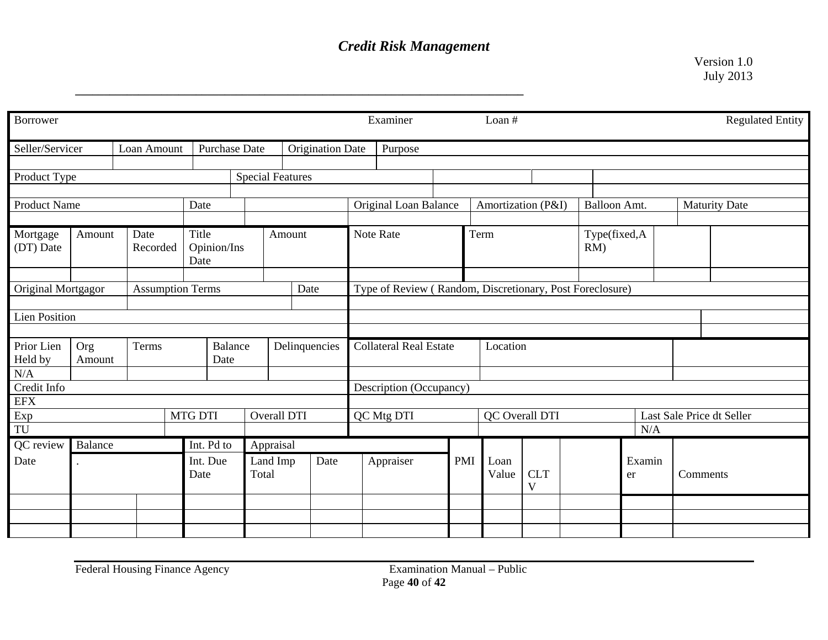**\_\_\_\_\_\_\_\_\_\_\_\_\_\_\_\_\_\_\_\_\_\_\_\_\_\_\_\_\_\_\_\_\_\_\_\_\_\_\_\_\_\_\_\_\_\_\_\_\_\_\_\_\_\_\_\_\_\_\_\_\_\_\_\_\_\_\_\_\_\_\_\_\_\_\_\_\_\_** 

Version 1.0 July 2013

|                                                     |            |  |                        |                                         |                                     |                                                          |                                                          |                         |                                     |          | Loan #                                |                 |  |                        |              |  | <b>Regulated Entity</b>   |  |
|-----------------------------------------------------|------------|--|------------------------|-----------------------------------------|-------------------------------------|----------------------------------------------------------|----------------------------------------------------------|-------------------------|-------------------------------------|----------|---------------------------------------|-----------------|--|------------------------|--------------|--|---------------------------|--|
| Seller/Servicer<br>Loan Amount                      |            |  |                        |                                         | Purpose                             |                                                          |                                                          |                         |                                     |          |                                       |                 |  |                        |              |  |                           |  |
| Product Type                                        |            |  |                        |                                         |                                     |                                                          |                                                          |                         |                                     |          |                                       |                 |  |                        |              |  |                           |  |
| <b>Product Name</b>                                 |            |  |                        |                                         |                                     |                                                          |                                                          | Original Loan Balance   |                                     |          |                                       |                 |  | <b>Balloon Amt.</b>    |              |  | <b>Maturity Date</b>      |  |
| Mortgage<br>Date<br>Amount<br>(DT) Date<br>Recorded |            |  |                        |                                         |                                     |                                                          |                                                          | Note Rate               |                                     |          | Term                                  |                 |  | Type(fixed,A<br>$RM$ ) |              |  |                           |  |
| Original Mortgagor<br><b>Assumption Terms</b>       |            |  |                        |                                         |                                     | Type of Review (Random, Discretionary, Post Foreclosure) |                                                          |                         |                                     |          |                                       |                 |  |                        |              |  |                           |  |
| <b>Lien Position</b>                                |            |  |                        |                                         |                                     |                                                          |                                                          |                         |                                     |          |                                       |                 |  |                        |              |  |                           |  |
| Terms<br>Prior Lien<br>Org<br>Held by<br>Amount     |            |  | <b>Balance</b><br>Date |                                         | Delinquencies                       |                                                          | <b>Collateral Real Estate</b>                            |                         |                                     | Location |                                       |                 |  |                        |              |  |                           |  |
| N/A<br>Credit Info                                  |            |  |                        |                                         |                                     |                                                          |                                                          |                         |                                     |          |                                       |                 |  |                        |              |  |                           |  |
|                                                     |            |  |                        |                                         |                                     |                                                          |                                                          |                         |                                     |          |                                       |                 |  |                        |              |  |                           |  |
| Exp<br>$\mbox{TU}$                                  |            |  |                        |                                         |                                     |                                                          |                                                          |                         |                                     |          | QC Overall DTI                        |                 |  | N/A                    |              |  | Last Sale Price dt Seller |  |
| Balance                                             | Int. Pd to |  |                        |                                         |                                     |                                                          |                                                          |                         |                                     |          |                                       |                 |  |                        |              |  |                           |  |
| Date                                                |            |  | Int. Due<br>Date       |                                         | Date                                |                                                          |                                                          |                         |                                     |          | Loan<br>Value                         | <b>CLT</b><br>V |  |                        | Examin<br>er |  | Comments                  |  |
|                                                     |            |  |                        |                                         |                                     |                                                          |                                                          |                         |                                     |          |                                       |                 |  |                        |              |  |                           |  |
|                                                     |            |  |                        | Date<br>Title<br>Date<br><b>MTG DTI</b> | <b>Purchase Date</b><br>Opinion/Ins | Appraisal<br>Land Imp<br>Total                           | <b>Special Features</b><br>Amount<br>Date<br>Overall DTI | <b>Origination Date</b> | Examiner<br>QC Mtg DTI<br>Appraiser |          | Description (Occupancy)<br><b>PMI</b> |                 |  | Amortization (P&I)     |              |  |                           |  |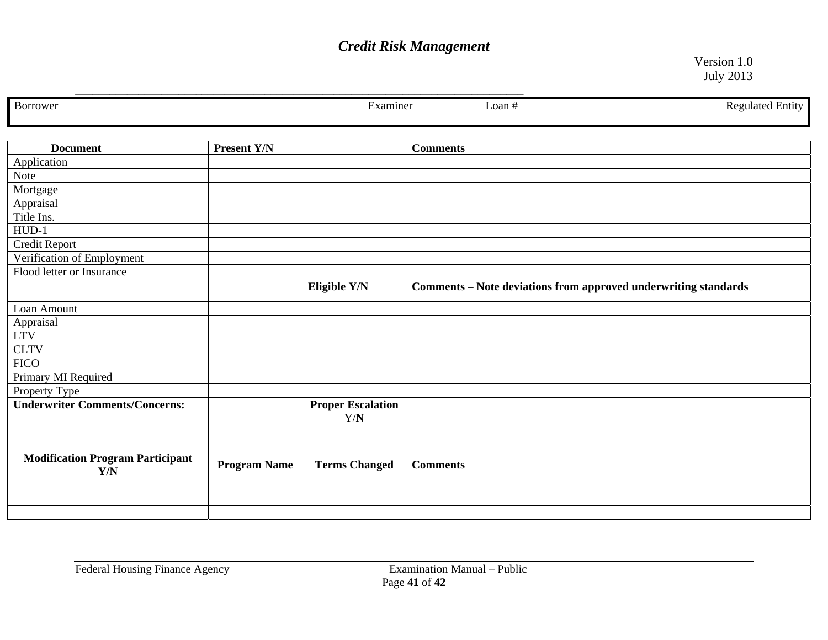**\_\_\_\_\_\_\_\_\_\_\_\_\_\_\_\_\_\_\_\_\_\_\_\_\_\_\_\_\_\_\_\_\_\_\_\_\_\_\_\_\_\_\_\_\_\_\_\_\_\_\_\_\_\_\_\_\_\_\_\_\_\_\_\_\_\_\_\_\_\_\_\_\_\_\_\_\_\_** 

Version 1.0 July 2013

| Borrower                                       |                     | Examiner                        | <b>Regulated Entity</b><br>Loan #                               |
|------------------------------------------------|---------------------|---------------------------------|-----------------------------------------------------------------|
| <b>Document</b>                                | Present Y/N         |                                 | <b>Comments</b>                                                 |
| Application                                    |                     |                                 |                                                                 |
| Note                                           |                     |                                 |                                                                 |
| Mortgage                                       |                     |                                 |                                                                 |
| Appraisal                                      |                     |                                 |                                                                 |
| Title Ins.                                     |                     |                                 |                                                                 |
| $HUD-1$                                        |                     |                                 |                                                                 |
| Credit Report                                  |                     |                                 |                                                                 |
| Verification of Employment                     |                     |                                 |                                                                 |
| Flood letter or Insurance                      |                     |                                 |                                                                 |
|                                                |                     | Eligible Y/N                    | Comments - Note deviations from approved underwriting standards |
| Loan Amount                                    |                     |                                 |                                                                 |
| Appraisal                                      |                     |                                 |                                                                 |
| <b>LTV</b>                                     |                     |                                 |                                                                 |
| <b>CLTV</b>                                    |                     |                                 |                                                                 |
| <b>FICO</b>                                    |                     |                                 |                                                                 |
| Primary MI Required                            |                     |                                 |                                                                 |
| Property Type                                  |                     |                                 |                                                                 |
| <b>Underwriter Comments/Concerns:</b>          |                     | <b>Proper Escalation</b><br>Y/N |                                                                 |
|                                                |                     |                                 |                                                                 |
| <b>Modification Program Participant</b><br>Y/N | <b>Program Name</b> | <b>Terms Changed</b>            | <b>Comments</b>                                                 |
|                                                |                     |                                 |                                                                 |
|                                                |                     |                                 |                                                                 |
|                                                |                     |                                 |                                                                 |